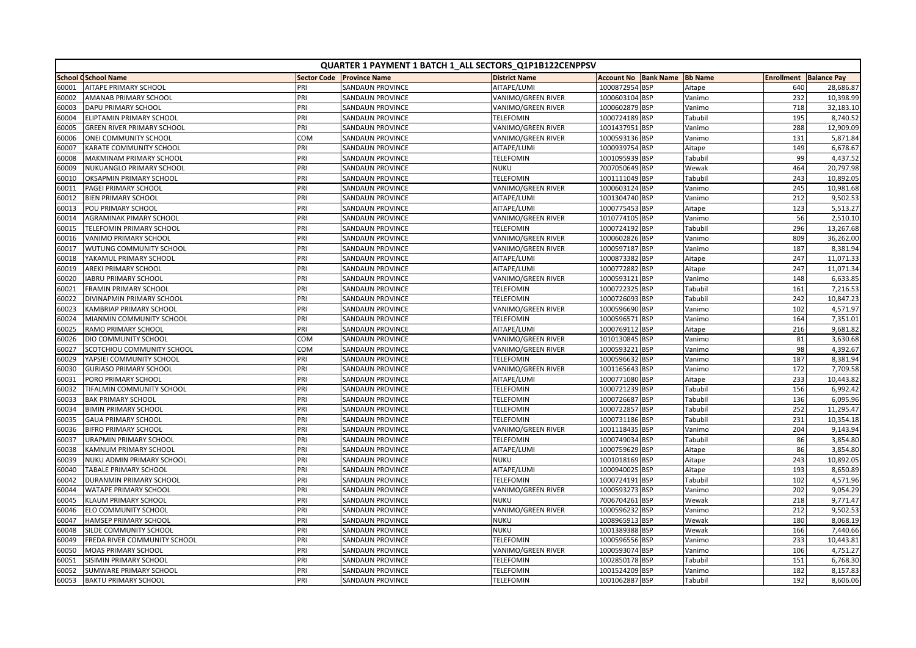|       | QUARTER 1 PAYMENT 1 BATCH 1_ALL SECTORS_Q1P1B122CENPPSV |                    |                         |                           |                   |                  |                |     |                               |
|-------|---------------------------------------------------------|--------------------|-------------------------|---------------------------|-------------------|------------------|----------------|-----|-------------------------------|
|       | <b>School CSchool Name</b>                              | <b>Sector Code</b> | <b>Province Name</b>    | <b>District Name</b>      | <b>Account No</b> | <b>Bank Name</b> | <b>Bb Name</b> |     | <b>Enrollment Balance Pay</b> |
| 60001 | <b>AITAPE PRIMARY SCHOOL</b>                            | PRI                | <b>SANDAUN PROVINCE</b> | AITAPE/LUMI               | 1000872954 BSP    |                  | Aitape         | 640 | 28,686.87                     |
| 60002 | <b>AMANAB PRIMARY SCHOOL</b>                            | PRI                | <b>SANDAUN PROVINCE</b> | <b>VANIMO/GREEN RIVER</b> | 1000603104 BSP    |                  | Vanimo         | 232 | 10,398.99                     |
| 60003 | <b>DAPU PRIMARY SCHOOL</b>                              | PRI                | <b>SANDAUN PROVINCE</b> | <b>VANIMO/GREEN RIVER</b> | 1000602879 BSP    |                  | Vanimo         | 718 | 32,183.10                     |
| 60004 | ELIPTAMIN PRIMARY SCHOOL                                | PRI                | <b>SANDAUN PROVINCE</b> | <b>TELEFOMIN</b>          | 1000724189 BSP    |                  | Tabubil        | 195 | 8,740.52                      |
| 60005 | <b>GREEN RIVER PRIMARY SCHOOL</b>                       | PRI                | <b>SANDAUN PROVINCE</b> | VANIMO/GREEN RIVER        | 1001437951 BSP    |                  | Vanimo         | 288 | 12,909.09                     |
| 60006 | ONEI COMMUNITY SCHOOL                                   | COM                | SANDAUN PROVINCE        | VANIMO/GREEN RIVER        | 1000593136 BSP    |                  | Vanimo         | 131 | 5,871.84                      |
| 60007 | KARATE COMMUNITY SCHOOL                                 | PRI                | <b>SANDAUN PROVINCE</b> | AITAPE/LUMI               | 1000939754 BSP    |                  | Aitape         | 149 | 6,678.67                      |
| 60008 | <b>MAKMINAM PRIMARY SCHOOL</b>                          | PRI                | <b>SANDAUN PROVINCE</b> | <b>TELEFOMIN</b>          | 1001095939 BSP    |                  | Tabubil        | 99  | 4,437.52                      |
| 60009 | NUKUANGLO PRIMARY SCHOOL                                | PRI                | SANDAUN PROVINCE        | <b>NUKU</b>               | 7007050649 BSP    |                  | Wewak          | 464 | 20,797.98                     |
| 60010 | <b>OKSAPMIN PRIMARY SCHOOL</b>                          | PRI                | <b>SANDAUN PROVINCE</b> | <b>TELEFOMIN</b>          | 1001111049 BSP    |                  | Tabubil        | 243 | 10,892.05                     |
| 60011 | PAGEI PRIMARY SCHOOL                                    | PRI                | <b>SANDAUN PROVINCE</b> | VANIMO/GREEN RIVER        | 1000603124 BSP    |                  | Vanimo         | 245 | 10,981.68                     |
| 60012 | <b>BIEN PRIMARY SCHOOL</b>                              | PRI                | <b>SANDAUN PROVINCE</b> | AITAPE/LUMI               | 1001304740 BSP    |                  | Vanimo         | 212 | 9,502.53                      |
| 60013 | POU PRIMARY SCHOOL                                      | PRI                | SANDAUN PROVINCE        | AITAPE/LUMI               | 1000775453 BSP    |                  | Aitape         | 123 | 5,513.27                      |
| 60014 | <b>AGRAMINAK PIMARY SCHOOL</b>                          | PRI                | <b>SANDAUN PROVINCE</b> | VANIMO/GREEN RIVER        | 1010774105 BSP    |                  | Vanimo         | 56  | 2,510.10                      |
| 60015 | TELEFOMIN PRIMARY SCHOOL                                | PRI                | <b>SANDAUN PROVINCE</b> | <b>TELEFOMIN</b>          | 1000724192 BSP    |                  | Tabubil        | 296 | 13,267.68                     |
| 60016 | <b>VANIMO PRIMARY SCHOOL</b>                            | PRI                | <b>SANDAUN PROVINCE</b> | VANIMO/GREEN RIVER        | 1000602826 BSP    |                  | Vanimo         | 809 | 36,262.00                     |
| 60017 | WUTUNG COMMUNITY SCHOOL                                 | PRI                | <b>SANDAUN PROVINCE</b> | VANIMO/GREEN RIVER        | 1000597187        | <b>BSP</b>       | Vanimo         | 187 | 8,381.94                      |
| 60018 | YAKAMUL PRIMARY SCHOOL                                  | PRI                | <b>SANDAUN PROVINCE</b> | AITAPE/LUMI               | 1000873382 BSP    |                  | Aitape         | 247 | 11,071.33                     |
| 60019 | <b>AREKI PRIMARY SCHOOL</b>                             | PRI                | <b>SANDAUN PROVINCE</b> | AITAPE/LUMI               | 1000772882        | <b>BSP</b>       | Aitape         | 247 | 11,071.34                     |
| 60020 | <b>IABRU PRIMARY SCHOOL</b>                             | PRI                | <b>SANDAUN PROVINCE</b> | VANIMO/GREEN RIVER        | 1000593121 BSP    |                  | Vanimo         | 148 | 6,633.85                      |
| 60021 | <b>FRAMIN PRIMARY SCHOOL</b>                            | PRI                | <b>SANDAUN PROVINCE</b> | <b>TELEFOMIN</b>          | 1000722325 BSP    |                  | Tabubil        | 161 | 7,216.53                      |
| 60022 | DIVINAPMIN PRIMARY SCHOOL                               | PRI                | <b>SANDAUN PROVINCE</b> | <b>TELEFOMIN</b>          | 1000726093 BSP    |                  | Tabubil        | 242 | 10,847.23                     |
| 60023 | KAMBRIAP PRIMARY SCHOOL                                 | PRI                | <b>SANDAUN PROVINCE</b> | VANIMO/GREEN RIVER        | 1000596690 BSP    |                  | Vanimo         | 102 | 4,571.97                      |
| 60024 | MIANMIN COMMUNITY SCHOOL                                | PRI                | <b>SANDAUN PROVINCE</b> | <b>TELEFOMIN</b>          | 1000596571 BSP    |                  | Vanimo         | 164 | 7,351.01                      |
| 60025 | <b>RAMO PRIMARY SCHOOL</b>                              | PRI                | <b>SANDAUN PROVINCE</b> | AITAPE/LUMI               | 1000769112 BSP    |                  | Aitape         | 216 | 9,681.82                      |
| 60026 | <b>DIO COMMUNITY SCHOOL</b>                             | COM                | <b>SANDAUN PROVINCE</b> | <b>VANIMO/GREEN RIVER</b> | 1010130845 BSP    |                  | Vanimo         | 81  | 3,630.68                      |
| 60027 | SCOTCHIOU COMMUNITY SCHOOL                              | COM                | <b>SANDAUN PROVINCE</b> | VANIMO/GREEN RIVER        | 1000593221        | <b>BSP</b>       | Vanimo         | 98  | 4,392.67                      |
| 60029 | YAPSIEI COMMUNITY SCHOOL                                | PRI                | <b>SANDAUN PROVINCE</b> | <b>TELEFOMIN</b>          | 1000596632        | <b>BSP</b>       | Vanimo         | 187 | 8,381.94                      |
| 60030 | <b>GURIASO PRIMARY SCHOOL</b>                           | PRI                | <b>SANDAUN PROVINCE</b> | <b>VANIMO/GREEN RIVER</b> | 1001165643 BSP    |                  | Vanimo         | 172 | 7,709.58                      |
| 60031 | PORO PRIMARY SCHOOL                                     | PRI                | <b>SANDAUN PROVINCE</b> | AITAPE/LUMI               | 1000771080 BSP    |                  | Aitape         | 233 | 10,443.82                     |
| 60032 | TIFALMIN COMMUNITY SCHOOL                               | PRI                | SANDAUN PROVINCE        | <b>TELEFOMIN</b>          | 1000721239 BSP    |                  | Tabubil        | 156 | 6,992.42                      |
| 60033 | <b>BAK PRIMARY SCHOOL</b>                               | PRI                | SANDAUN PROVINCE        | <b>TELEFOMIN</b>          | 1000726687 BSP    |                  | Tabubil        | 136 | 6,095.96                      |
| 60034 | <b>BIMIN PRIMARY SCHOOL</b>                             | PRI                | <b>SANDAUN PROVINCE</b> | <b>TELEFOMIN</b>          | 1000722857 BSP    |                  | Tabubil        | 252 | 11,295.47                     |
| 60035 | <b>GAUA PRIMARY SCHOOL</b>                              | PRI                | <b>SANDAUN PROVINCE</b> | <b>TELEFOMIN</b>          | 1000731186        | <b>BSP</b>       | Tabubil        | 231 | 10,354.18                     |
| 60036 | <b>BIFRO PRIMARY SCHOOL</b>                             | PRI                | <b>SANDAUN PROVINCE</b> | VANIMO/GREEN RIVER        | 1001118435 BSP    |                  | Vanimo         | 204 | 9,143.94                      |
| 60037 | <b>URAPMIN PRIMARY SCHOOL</b>                           | PRI                | <b>SANDAUN PROVINCE</b> | <b>TELEFOMIN</b>          | 1000749034 BSP    |                  | Tabubil        | 86  | 3,854.80                      |
| 60038 | KAMNUM PRIMARY SCHOOL                                   | PRI                | <b>SANDAUN PROVINCE</b> | AITAPE/LUMI               | 1000759629 BSP    |                  | Aitape         | 86  | 3,854.80                      |
| 60039 | NUKU ADMIN PRIMARY SCHOOL                               | PRI                | SANDAUN PROVINCE        | <b>NUKU</b>               | 1001018169 BSP    |                  | Aitape         | 243 | 10,892.05                     |
| 60040 | <b>TABALE PRIMARY SCHOOL</b>                            | PRI                | <b>SANDAUN PROVINCE</b> | AITAPE/LUMI               | 1000940025 BSP    |                  | Aitape         | 193 | 8,650.89                      |
| 60042 | DURANMIN PRIMARY SCHOOL                                 | PRI                | <b>SANDAUN PROVINCE</b> | <b>TELEFOMIN</b>          | 1000724191 BSP    |                  | Tabubil        | 102 | 4,571.96                      |
| 60044 | <b>WATAPE PRIMARY SCHOOL</b>                            | PRI                | <b>SANDAUN PROVINCE</b> | VANIMO/GREEN RIVER        | 1000593273        | <b>BSP</b>       | Vanimo         | 202 | 9,054.29                      |
| 60045 | <b>KLAUM PRIMARY SCHOOL</b>                             | PRI                | SANDAUN PROVINCE        | <b>NUKU</b>               | 7006704261        | <b>BSP</b>       | Wewak          | 218 | 9,771.47                      |
| 60046 | <b>ELO COMMUNITY SCHOOL</b>                             | PRI                | SANDAUN PROVINCE        | VANIMO/GREEN RIVER        | 1000596232 BSP    |                  | Vanimo         | 212 | 9,502.53                      |
| 60047 | <b>HAMSEP PRIMARY SCHOOL</b>                            | PRI                | <b>SANDAUN PROVINCE</b> | <b>NUKU</b>               | 1008965913 BSP    |                  | Wewak          | 180 | 8,068.19                      |
| 60048 | SILDE COMMUNITY SCHOOL                                  | PRI                | SANDAUN PROVINCE        | <b>NUKU</b>               | 1001389388 BSP    |                  | Wewak          | 166 | 7,440.66                      |
| 60049 | <b>FREDA RIVER COMMUNITY SCHOOL</b>                     | PRI                | <b>SANDAUN PROVINCE</b> | <b>TELEFOMIN</b>          | 1000596556        | <b>BSP</b>       | Vanimo         | 233 | 10,443.81                     |
| 60050 | <b>MOAS PRIMARY SCHOOL</b>                              | PRI                | <b>SANDAUN PROVINCE</b> | VANIMO/GREEN RIVER        | 1000593074 BSP    |                  | Vanimo         | 106 | 4,751.27                      |
| 60051 | SISIMIN PRIMARY SCHOOL                                  | PRI                | <b>SANDAUN PROVINCE</b> | <b>TELEFOMIN</b>          | 1002850178        | <b>BSP</b>       | Tabubil        | 151 | 6,768.30                      |
| 60052 | <b>SUMWARE PRIMARY SCHOOL</b>                           | PRI                | <b>SANDAUN PROVINCE</b> | <b>TELEFOMIN</b>          | 1001524209 BSP    |                  | Vanimo         | 182 | 8,157.83                      |
| 60053 | <b>BAKTU PRIMARY SCHOOL</b>                             | PRI                | <b>SANDAUN PROVINCE</b> | <b>TELEFOMIN</b>          | 1001062887 BSP    |                  | Tabubil        | 192 | 8,606.06                      |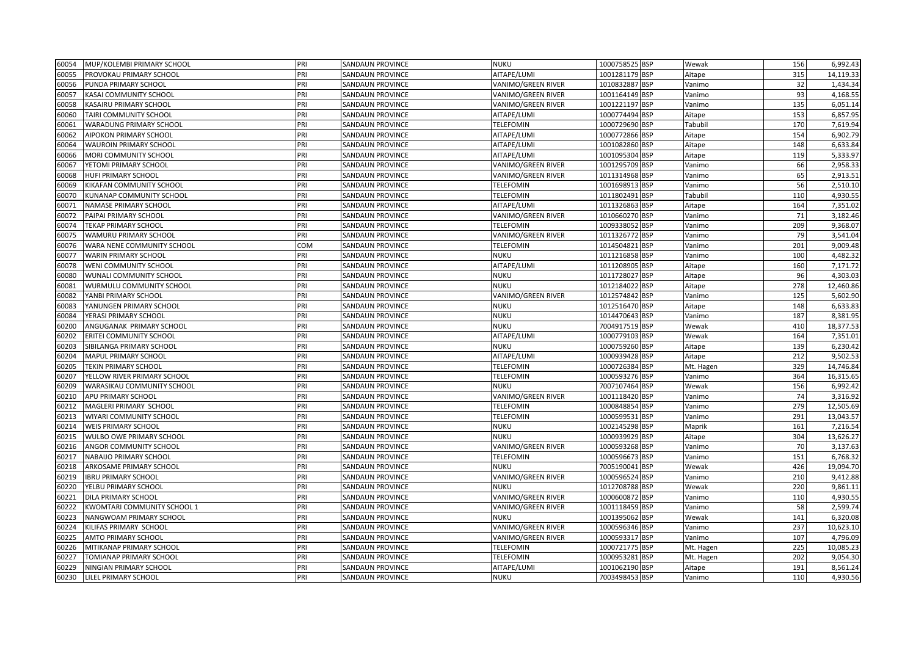| 60054 | MUP/KOLEMBI PRIMARY SCHOOL        | PRI | SANDAUN PROVINCE        | <b>NUKU</b>        | 1000758525 BSP | Wewak     | 156 | 6,992.43  |
|-------|-----------------------------------|-----|-------------------------|--------------------|----------------|-----------|-----|-----------|
| 60055 | PROVOKAU PRIMARY SCHOOL           | PRI | SANDAUN PROVINCE        | AITAPE/LUMI        | 1001281179 BSP | Aitape    | 315 | 14,119.33 |
| 60056 | PUNDA PRIMARY SCHOOL              | PRI | SANDAUN PROVINCE        | VANIMO/GREEN RIVER | 1010832887 BSP | Vanimo    | 32  | 1,434.34  |
| 60057 | KASAI COMMUNITY SCHOOL            | PRI | SANDAUN PROVINCE        | VANIMO/GREEN RIVER | 1001164149 BSP | Vanimo    | 93  | 4,168.55  |
| 60058 | KASAIRU PRIMARY SCHOOL            | PRI | SANDAUN PROVINCE        | VANIMO/GREEN RIVER | 1001221197 BSP | Vanimo    | 135 | 6,051.14  |
| 60060 | TAIRI COMMUNITY SCHOOL            | PRI | SANDAUN PROVINCE        | AITAPE/LUMI        | 1000774494 BSP | Aitape    | 153 | 6,857.95  |
| 60061 | <b>WARADUNG PRIMARY SCHOOL</b>    | PRI | SANDAUN PROVINCE        | TELEFOMIN          | 1000729690 BSP | Tabubil   | 170 | 7,619.94  |
| 60062 | AIPOKON PRIMARY SCHOOL            | PRI | SANDAUN PROVINCE        | AITAPE/LUMI        | 1000772866 BSP | Aitape    | 154 | 6,902.79  |
| 60064 | <b>WAUROIN PRIMARY SCHOOL</b>     | PRI | SANDAUN PROVINCE        | AITAPE/LUMI        | 1001082860 BSP | Aitape    | 148 | 6,633.84  |
| 60066 | MORI COMMUNITY SCHOOL             | PRI | SANDAUN PROVINCE        | AITAPE/LUMI        | 1001095304 BSP | Aitape    | 119 | 5,333.97  |
| 60067 | YETOMI PRIMARY SCHOOL             | pri | SANDAUN PROVINCE        | VANIMO/GREEN RIVER | 1001295709 BSP | Vanimo    | 66  | 2,958.33  |
| 60068 | <b>HUFI PRIMARY SCHOOL</b>        | PRI | SANDAUN PROVINCE        | VANIMO/GREEN RIVER | 1011314968 BSP | Vanimo    | 65  | 2,913.51  |
| 60069 | KIKAFAN COMMUNITY SCHOOL          | PRI | SANDAUN PROVINCE        | TELEFOMIN          | 1001698913 BSP | Vanimo    | 56  | 2,510.10  |
| 60070 | KUNANAP COMMUNITY SCHOOL          | PRI | SANDAUN PROVINCE        | <b>TELEFOMIN</b>   | 1011802491 BSP | Tabubil   | 110 | 4,930.55  |
| 60071 | <b>NAMASE PRIMARY SCHOOL</b>      | PRI | SANDAUN PROVINCE        | AITAPE/LUMI        | 1011326863 BSP | Aitape    | 164 | 7,351.02  |
| 60072 | PAIPAI PRIMARY SCHOOL             | PRI | SANDAUN PROVINCE        | VANIMO/GREEN RIVER | 1010660270 BSP | Vanimo    | 71  | 3,182.46  |
| 60074 | <b>TEKAP PRIMARY SCHOOL</b>       | PRI | SANDAUN PROVINCE        | <b>TELEFOMIN</b>   | 1009338052 BSP | Vanimo    | 209 | 9,368.07  |
| 60075 | WAMURU PRIMARY SCHOOL             | PRI | SANDAUN PROVINCE        | VANIMO/GREEN RIVER | 1011326772 BSP | Vanimo    | 79  | 3,541.04  |
| 60076 | WARA NENE COMMUNITY SCHOOL        | COM | SANDAUN PROVINCE        | TELEFOMIN          | 1014504821 BSP | Vanimo    | 201 | 9,009.48  |
| 60077 | <b>WARIN PRIMARY SCHOOL</b>       | PRI | SANDAUN PROVINCE        | <b>NUKU</b>        | 1011216858 BSP | Vanimo    | 100 | 4,482.32  |
| 60078 | WENI COMMUNITY SCHOOL             | PRI | SANDAUN PROVINCE        | AITAPE/LUMI        | 1011208905 BSP | Aitape    | 160 | 7,171.72  |
| 60080 | WUNALI COMMUNITY SCHOOL           | PRI | SANDAUN PROVINCE        | <b>NUKU</b>        | 1011728027 BSP | Aitape    | 96  | 4,303.03  |
| 60081 | WURMULU COMMUNITY SCHOOL          | PRI | SANDAUN PROVINCE        | <b>NUKU</b>        | 1012184022 BSP | Aitape    | 278 | 12,460.86 |
| 60082 | YANBI PRIMARY SCHOOL              | PRI | SANDAUN PROVINCE        | VANIMO/GREEN RIVER | 1012574842 BSP | Vanimo    | 125 | 5,602.90  |
| 60083 | YANUNGEN PRIMARY SCHOOL           | PRI | SANDAUN PROVINCE        | <b>NUKU</b>        | 1012516470 BSP | Aitape    | 148 | 6,633.83  |
| 60084 | YERASI PRIMARY SCHOOL             | PRI | SANDAUN PROVINCE        | <b>NUKU</b>        | 1014470643 BSP | Vanimo    | 187 | 8,381.95  |
| 60200 | ANGUGANAK PRIMARY SCHOOL          | PRI | SANDAUN PROVINCE        | <b>NUKU</b>        | 7004917519 BSP | Wewak     | 410 | 18,377.53 |
| 60202 | <b>ERITEI COMMUNITY SCHOOL</b>    | pri | SANDAUN PROVINCE        | AITAPE/LUMI        | 1000779103 BSP | Wewak     | 164 | 7,351.01  |
| 60203 | SIBILANGA PRIMARY SCHOOL          | PRI | SANDAUN PROVINCE        | <b>NUKU</b>        | 1000759260 BSP | Aitape    | 139 | 6,230.42  |
| 60204 | <b>MAPUL PRIMARY SCHOOL</b>       | PRI | SANDAUN PROVINCE        | AITAPE/LUMI        | 1000939428 BSP | Aitape    | 212 | 9,502.53  |
| 60205 | <b>TEKIN PRIMARY SCHOOL</b>       | PRI | SANDAUN PROVINCE        | <b>TELEFOMIN</b>   | 1000726384 BSP | Mt. Hagen | 329 | 14,746.84 |
| 60207 | YELLOW RIVER PRIMARY SCHOOL       | PRI | SANDAUN PROVINCE        | <b>TELEFOMIN</b>   | 1000593276 BSP | Vanimo    | 364 | 16,315.65 |
| 60209 | <b>WARASIKAU COMMUNITY SCHOOL</b> | PRI | SANDAUN PROVINCE        | <b>NUKU</b>        | 7007107464 BSP | Wewak     | 156 | 6,992.42  |
| 60210 | APU PRIMARY SCHOOL                | PRI | SANDAUN PROVINCE        | VANIMO/GREEN RIVER | 1001118420 BSP | Vanimo    | 74  | 3,316.92  |
| 60212 | MAGLERI PRIMARY SCHOOL            | pri | SANDAUN PROVINCE        | <b>TELEFOMIN</b>   | 1000848854 BSP | Vanimo    | 279 | 12,505.69 |
| 60213 | WIYARI COMMUNITY SCHOOL           | PRI | SANDAUN PROVINCE        | <b>TELEFOMIN</b>   | 1000599531 BSP | Vanimo    | 291 | 13,043.57 |
| 60214 | <b>WEIS PRIMARY SCHOOL</b>        | PRI | SANDAUN PROVINCE        | <b>NUKU</b>        | 1002145298 BSP | Maprik    | 161 | 7,216.54  |
| 60215 | WULBO OWE PRIMARY SCHOOL          | PRI | SANDAUN PROVINCE        | <b>NUKU</b>        | 1000939929 BSP | Aitape    | 304 | 13,626.27 |
| 60216 | ANGOR COMMUNITY SCHOOL            | PRI | SANDAUN PROVINCE        | VANIMO/GREEN RIVER | 1000593268 BSP | Vanimo    | 70  | 3,137.63  |
| 60217 | NABAIJO PRIMARY SCHOOL            | PRI | SANDAUN PROVINCE        | <b>TELEFOMIN</b>   | 1000596673 BSP | Vanimo    | 151 | 6,768.32  |
| 60218 | ARKOSAME PRIMARY SCHOOL           | PRI | SANDAUN PROVINCE        | <b>NUKU</b>        | 7005190041 BSP | Wewak     | 426 | 19,094.70 |
| 60219 | <b>IBRU PRIMARY SCHOOL</b>        | PRI | SANDAUN PROVINCE        | VANIMO/GREEN RIVER | 1000596524 BSP | Vanimo    | 210 | 9,412.88  |
| 60220 | YELBU PRIMARY SCHOOL              | pri | SANDAUN PROVINCE        | <b>NUKU</b>        | 1012708788 BSP | Wewak     | 220 | 9,861.11  |
| 60221 | <b>DILA PRIMARY SCHOOL</b>        | PRI | SANDAUN PROVINCE        | VANIMO/GREEN RIVER | 1000600872 BSP | Vanimo    | 110 | 4,930.55  |
| 60222 | KWOMTARI COMMUNITY SCHOOL 1       | PRI | <b>SANDAUN PROVINCE</b> | VANIMO/GREEN RIVER | 1001118459 BSP | Vanimo    | 58  | 2,599.74  |
| 60223 | NANGWOAM PRIMARY SCHOOL           | PRI | SANDAUN PROVINCE        | <b>NUKU</b>        | 1001395062 BSP | Wewak     | 141 | 6,320.08  |
| 60224 | KILIFAS PRIMARY SCHOOL            | PRI | SANDAUN PROVINCE        | VANIMO/GREEN RIVER | 1000596346 BSP | Vanimo    | 237 | 10,623.10 |
| 60225 | AMTO PRIMARY SCHOOL               | PRI | SANDAUN PROVINCE        | VANIMO/GREEN RIVER | 1000593317 BSP | Vanimo    | 107 | 4,796.09  |
| 60226 | MITIKANAP PRIMARY SCHOOL          | pri | SANDAUN PROVINCE        | <b>TELEFOMIN</b>   | 1000721775 BSP | Mt. Hagen | 225 | 10,085.23 |
| 60227 | TOMIANAP PRIMARY SCHOOL           | PRI | SANDAUN PROVINCE        | TELEFOMIN          | 1000953281 BSP | Mt. Hagen | 202 | 9,054.30  |
| 60229 | NINGIAN PRIMARY SCHOOL            | PRI | SANDAUN PROVINCE        | AITAPE/LUMI        | 1001062190 BSP | Aitape    | 191 | 8,561.24  |
| 60230 | LILEL PRIMARY SCHOOL              | PRI | <b>SANDAUN PROVINCE</b> | <b>NUKU</b>        | 7003498453 BSP | Vanimo    | 110 | 4,930.56  |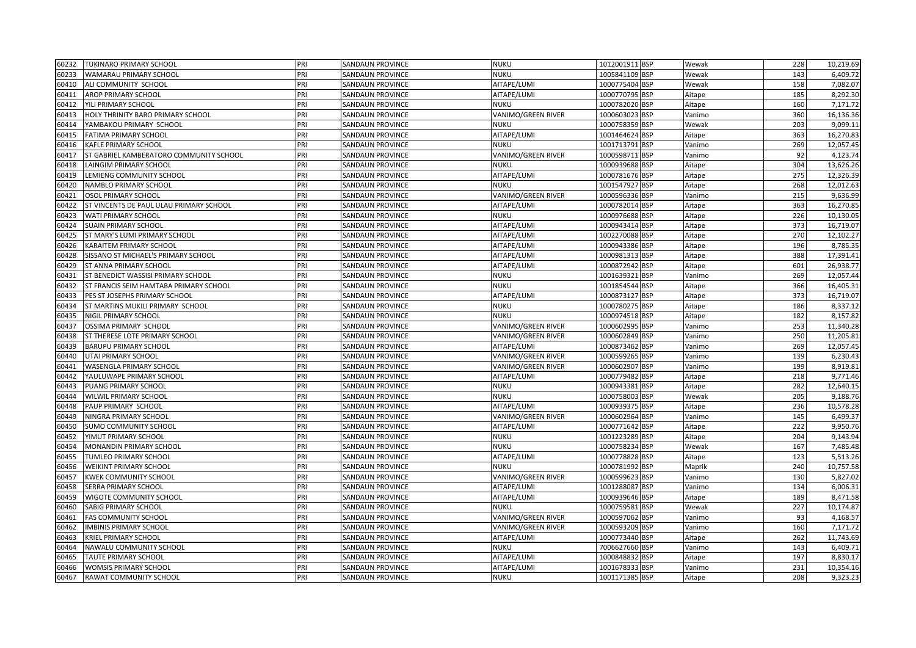| 60232 | <b>TUKINARO PRIMARY SCHOOL</b>          | PRI | SANDAUN PROVINCE        | <b>NUKU</b>        | 1012001911 BSP           | Wewak  | 228 | 10,219.69 |
|-------|-----------------------------------------|-----|-------------------------|--------------------|--------------------------|--------|-----|-----------|
| 60233 | WAMARAU PRIMARY SCHOOL                  | PRI | SANDAUN PROVINCE        | <b>NUKU</b>        | 1005841109 BSP           | Wewak  | 143 | 6,409.72  |
| 60410 | ALI COMMUNITY SCHOOL                    | PRI | SANDAUN PROVINCE        | AITAPE/LUMI        | 1000775404 BSP           | Wewak  | 158 | 7,082.07  |
| 60411 | <b>AROP PRIMARY SCHOOL</b>              | PRI | SANDAUN PROVINCE        | AITAPE/LUMI        | 1000770795 BSP           | Aitape | 185 | 8,292.30  |
| 60412 | YILI PRIMARY SCHOOL                     | PRI | SANDAUN PROVINCE        | <b>NUKU</b>        | 1000782020 BSP           | Aitape | 160 | 7,171.72  |
| 60413 | HOLY THRINITY BARO PRIMARY SCHOOL       | PRI | SANDAUN PROVINCE        | VANIMO/GREEN RIVER | 1000603023 BSP           | Vanimo | 360 | 16,136.36 |
| 60414 | YAMBAKOU PRIMARY SCHOOL                 | PRI | <b>SANDAUN PROVINCE</b> | NUKU               | 1000758359 BSP           | Wewak  | 203 | 9,099.11  |
| 60415 | FATIMA PRIMARY SCHOOL                   | PRI | SANDAUN PROVINCE        | AITAPE/LUMI        | 1001464624 BSP           | Aitape | 363 | 16,270.83 |
| 60416 | KAFLE PRIMARY SCHOOL                    | PRI | SANDAUN PROVINCE        | <b>NUKU</b>        | 1001713791 BSP           | Vanimo | 269 | 12,057.45 |
| 60417 | ST GABRIEL KAMBERATORO COMMUNITY SCHOOL | PRI | SANDAUN PROVINCE        | VANIMO/GREEN RIVER | 1000598711 BSP           | Vanimo | 92  | 4,123.74  |
| 60418 | LAINGIM PRIMARY SCHOOL                  | PRI | SANDAUN PROVINCE        | <b>NUKU</b>        | 1000939688 BSP           | Aitape | 304 | 13,626.26 |
| 60419 | LEMIENG COMMUNITY SCHOOL                | PRI | SANDAUN PROVINCE        | AITAPE/LUMI        | 1000781676 BSP           | Aitape | 275 | 12,326.39 |
| 60420 | NAMBLO PRIMARY SCHOOL                   | PRI | SANDAUN PROVINCE        | <b>NUKU</b>        | 1001547927 BSP           | Aitape | 268 | 12,012.63 |
| 60421 | OSOL PRIMARY SCHOOL                     | PRI | SANDAUN PROVINCE        | VANIMO/GREEN RIVER | 1000596336 BSP           | Vanimo | 215 | 9,636.99  |
| 60422 | ST VINCENTS DE PAUL ULAU PRIMARY SCHOOL | PRI | SANDAUN PROVINCE        | AITAPE/LUMI        | 1000782014 BSP           | Aitape | 363 | 16,270.85 |
| 60423 | <b>WATI PRIMARY SCHOOL</b>              | PRI | SANDAUN PROVINCE        | <b>NUKU</b>        | 1000976688 BSP           | Aitape | 226 | 10,130.05 |
| 60424 | <b>SUAIN PRIMARY SCHOOL</b>             | PRI | SANDAUN PROVINCE        | AITAPE/LUMI        | 1000943414 BSP           | Aitape | 373 | 16,719.07 |
| 60425 | ST MARY'S LUMI PRIMARY SCHOOL           | PRI | SANDAUN PROVINCE        | AITAPE/LUMI        | 1002270088 BSP           | Aitape | 270 | 12,102.27 |
| 60426 | KARAITEM PRIMARY SCHOOL                 | PRI | SANDAUN PROVINCE        | AITAPE/LUMI        | 1000943386 BSP           | Aitape | 196 | 8,785.35  |
| 60428 | SISSANO ST MICHAEL'S PRIMARY SCHOOL     | PRI | SANDAUN PROVINCE        | AITAPE/LUMI        | 1000981313 BSP           | Aitape | 388 | 17,391.41 |
| 60429 | ST ANNA PRIMARY SCHOOL                  | PRI | SANDAUN PROVINCE        | AITAPE/LUMI        | 1000872942 BSP           | Aitape | 601 | 26,938.77 |
| 60431 | ST BENEDICT WASSISI PRIMARY SCHOOL      | PRI | <b>SANDAUN PROVINCE</b> | <b>NUKU</b>        | 1001639321 BSP           | Vanimo | 269 | 12,057.44 |
| 60432 | ST FRANCIS SEIM HAMTABA PRIMARY SCHOOL  | PRI | SANDAUN PROVINCE        | <b>NUKU</b>        | 1001854544 BSP           | Aitape | 366 | 16,405.31 |
| 60433 | PES ST JOSEPHS PRIMARY SCHOOL           | PRI | SANDAUN PROVINCE        | AITAPE/LUMI        | 1000873127 BSP           | Aitape | 373 | 16,719.07 |
| 60434 | ST MARTINS MUKILI PRIMARY SCHOOL        | PRI | SANDAUN PROVINCE        | <b>NUKU</b>        | 1000780275 BSP           | Aitape | 186 | 8,337.12  |
| 60435 | NIGIL PRIMARY SCHOOL                    | PRI | SANDAUN PROVINCE        | <b>NUKU</b>        | 1000974518 BSP           | Aitape | 182 | 8,157.82  |
| 60437 | OSSIMA PRIMARY SCHOOL                   | PRI | SANDAUN PROVINCE        | VANIMO/GREEN RIVER | 1000602995 BSP           | Vanimo | 253 | 11,340.28 |
| 60438 | ST THERESE LOTE PRIMARY SCHOOL          | PRI | SANDAUN PROVINCE        | VANIMO/GREEN RIVER | 1000602849 BSP           | Vanimo | 250 | 11,205.81 |
| 60439 | <b>BARUPU PRIMARY SCHOOL</b>            | PRI | SANDAUN PROVINCE        | AITAPE/LUMI        | 1000873462 BSP           | Vanimo | 269 | 12,057.45 |
| 60440 | UTAI PRIMARY SCHOOL                     | PRI | SANDAUN PROVINCE        | VANIMO/GREEN RIVER | 1000599265 BSP           | Vanimo | 139 | 6,230.43  |
| 60441 | WASENGLA PRIMARY SCHOOL                 | PRI | SANDAUN PROVINCE        | VANIMO/GREEN RIVER | 1000602907 BSP           | Vanimo | 199 | 8,919.81  |
| 60442 | YAULUWAPE PRIMARY SCHOOL                | PRI | SANDAUN PROVINCE        | AITAPE/LUMI        | 1000779482 BSP           | Aitape | 218 | 9,771.46  |
| 60443 | PUANG PRIMARY SCHOOL                    | PRI | SANDAUN PROVINCE        | <b>NUKU</b>        | 1000943381<br><b>BSP</b> | Aitape | 282 | 12,640.15 |
| 60444 | WILWIL PRIMARY SCHOOL                   | PRI | SANDAUN PROVINCE        | <b>NUKU</b>        | 1000758003 BSP           | Wewak  | 205 | 9,188.76  |
| 60448 | PAUP PRIMARY SCHOOL                     | PRI | SANDAUN PROVINCE        | AITAPE/LUMI        | 1000939375 BSP           | Aitape | 236 | 10,578.28 |
| 60449 | NINGRA PRIMARY SCHOOL                   | PRI | SANDAUN PROVINCE        | VANIMO/GREEN RIVER | 1000602964 BSP           | Vanimo | 145 | 6,499.37  |
| 60450 | SUMO COMMUNITY SCHOOL                   | PRI | SANDAUN PROVINCE        | AITAPE/LUMI        | 1000771642 BSP           | Aitape | 222 | 9,950.76  |
| 60452 | YIMUT PRIMARY SCHOOL                    | PRI | <b>SANDAUN PROVINCE</b> | <b>NUKU</b>        | 1001223289 BSP           | Aitape | 204 | 9,143.94  |
| 60454 | MONANDIN PRIMARY SCHOOL                 | PRI | SANDAUN PROVINCE        | <b>NUKU</b>        | 1000758234 BSP           | Wewak  | 167 | 7,485.48  |
| 60455 | TUMLEO PRIMARY SCHOOL                   | PRI | SANDAUN PROVINCE        | AITAPE/LUMI        | 1000778828 BSP           | Aitape | 123 | 5,513.26  |
| 60456 | WEIKINT PRIMARY SCHOOL                  | PRI | SANDAUN PROVINCE        | <b>NUKU</b>        | 1000781992<br><b>BSP</b> | Maprik | 240 | 10,757.58 |
| 60457 | <b>KWEK COMMUNITY SCHOOL</b>            | PRI | SANDAUN PROVINCE        | VANIMO/GREEN RIVER | 1000599623 BSP           | Vanimo | 130 | 5,827.02  |
| 60458 | SERRA PRIMARY SCHOOL                    | PRI | SANDAUN PROVINCE        | AITAPE/LUMI        | 1001288087 BSP           | Vanimo | 134 | 6,006.31  |
| 60459 | WIGOTE COMMUNITY SCHOOL                 | PRI | SANDAUN PROVINCE        | AITAPE/LUMI        | 1000939646 BSP           | Aitape | 189 | 8,471.58  |
| 60460 | SABIG PRIMARY SCHOOL                    | PRI | <b>SANDAUN PROVINCE</b> | <b>NUKU</b>        | 1000759581 BSP           | Wewak  | 227 | 10,174.87 |
| 60461 | FAS COMMUNITY SCHOOL                    | PRI | SANDAUN PROVINCE        | VANIMO/GREEN RIVER | 1000597062 BSP           | Vanimo | 93  | 4,168.57  |
| 60462 | <b>IMBINIS PRIMARY SCHOOL</b>           | PRI | SANDAUN PROVINCE        | VANIMO/GREEN RIVER | 1000593209 BSP           | Vanimo | 160 | 7,171.72  |
| 60463 | <b>KRIEL PRIMARY SCHOOL</b>             | PRI | SANDAUN PROVINCE        | AITAPE/LUMI        | 1000773440 BSP           | Aitape | 262 | 11,743.69 |
| 60464 | NAWALU COMMUNITY SCHOOL                 | PRI | SANDAUN PROVINCE        | <b>NUKU</b>        | 7006627660 BSP           | Vanimo | 143 | 6,409.71  |
| 60465 | TAUTE PRIMARY SCHOOL                    | PRI | SANDAUN PROVINCE        | AITAPE/LUMI        | 1000848832 BSP           | Aitape | 197 | 8,830.17  |
| 60466 | WOMSIS PRIMARY SCHOOL                   | PRI | <b>SANDAUN PROVINCE</b> | AITAPE/LUMI        | 1001678333 BSP           | Vanimo | 231 | 10,354.16 |
| 60467 | RAWAT COMMUNITY SCHOOL                  | PRI | SANDAUN PROVINCE        | <b>NUKU</b>        | 1001171385 BSP           | Aitape | 208 | 9,323.23  |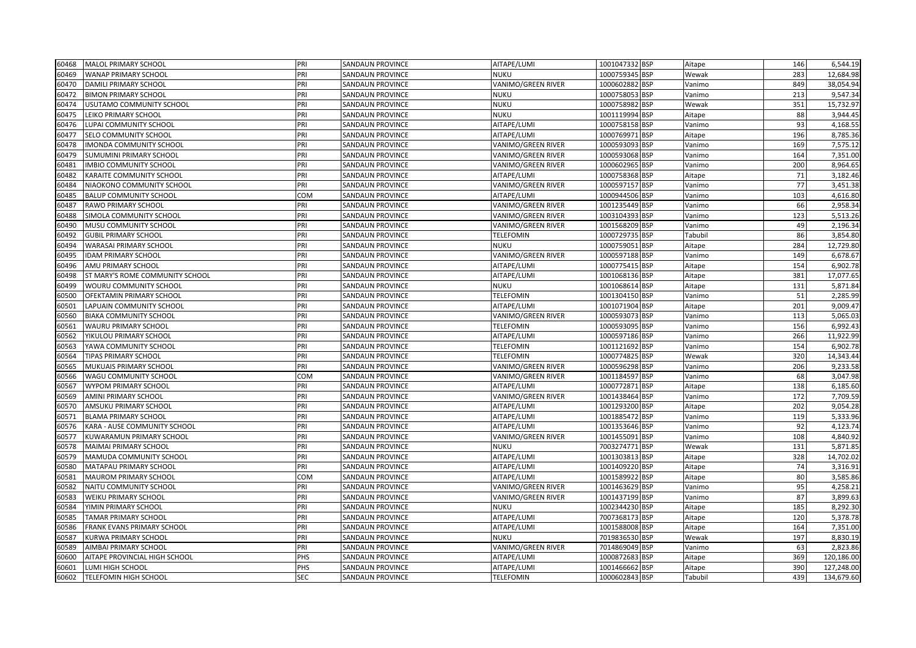| 60468 | MALOL PRIMARY SCHOOL            | PRI        | SANDAUN PROVINCE        | AITAPE/LUMI        | 1001047332 BSP | Aitape  | 146 | 6,544.19   |
|-------|---------------------------------|------------|-------------------------|--------------------|----------------|---------|-----|------------|
| 60469 | WANAP PRIMARY SCHOOL            | PRI        | SANDAUN PROVINCE        | <b>NUKU</b>        | 1000759345 BSP | Wewak   | 283 | 12,684.98  |
| 60470 | DAMILI PRIMARY SCHOOL           | PRI        | SANDAUN PROVINCE        | VANIMO/GREEN RIVER | 1000602882 BSP | Vanimo  | 849 | 38,054.94  |
| 60472 | <b>BIMON PRIMARY SCHOOL</b>     | PRI        | SANDAUN PROVINCE        | <b>NUKU</b>        | 1000758053 BSP | Vanimo  | 213 | 9,547.34   |
| 60474 | USUTAMO COMMUNITY SCHOOL        | PRI        | SANDAUN PROVINCE        | <b>NUKU</b>        | 1000758982 BSP | Wewak   | 351 | 15,732.97  |
| 60475 | LEIKO PRIMARY SCHOOL            | PRI        | <b>SANDAUN PROVINCE</b> | NUKU               | 1001119994 BSP | Aitape  | 88  | 3,944.45   |
| 60476 | LUPAI COMMUNITY SCHOOL          | PRI        | SANDAUN PROVINCE        | AITAPE/LUMI        | 1000758158 BSP | Vanimo  | 93  | 4,168.55   |
| 60477 | SELO COMMUNITY SCHOOL           | PRI        | SANDAUN PROVINCE        | AITAPE/LUMI        | 1000769971 BSP | Aitape  | 196 | 8,785.36   |
| 60478 | IMONDA COMMUNITY SCHOOL         | PRI        | SANDAUN PROVINCE        | VANIMO/GREEN RIVER | 1000593093 BSP | Vanimo  | 169 | 7,575.12   |
| 60479 | SUMUMINI PRIMARY SCHOOL         | PRI        | SANDAUN PROVINCE        | VANIMO/GREEN RIVER | 1000593068 BSP | Vanimo  | 164 | 7,351.00   |
| 60481 | IMBIO COMMUNITY SCHOOL          | PRI        | SANDAUN PROVINCE        | VANIMO/GREEN RIVER | 1000602965 BSP | Vanimo  | 200 | 8,964.65   |
| 60482 | KARAITE COMMUNITY SCHOOL        | PRI        | <b>SANDAUN PROVINCE</b> | AITAPE/LUMI        | 1000758368 BSP | Aitape  | 71  | 3,182.46   |
| 60484 | NIAOKONO COMMUNITY SCHOOL       | PRI        | SANDAUN PROVINCE        | VANIMO/GREEN RIVER | 1000597157 BSP | Vanimo  | 77  | 3,451.38   |
| 60485 | BALUP COMMUNITY SCHOOL          | COM        | SANDAUN PROVINCE        | AITAPE/LUMI        | 1000944506 BSP | Vanimo  | 103 | 4,616.80   |
| 60487 | RAWO PRIMARY SCHOOL             | PRI        | <b>SANDAUN PROVINCE</b> | VANIMO/GREEN RIVER | 1001235449 BSP | Vanimo  | 66  | 2,958.34   |
| 60488 | SIMOLA COMMUNITY SCHOOL         | PRI        | SANDAUN PROVINCE        | VANIMO/GREEN RIVER | 1003104393 BSP | Vanimo  | 123 | 5,513.26   |
| 60490 | MUSU COMMUNITY SCHOOL           | PRI        | SANDAUN PROVINCE        | VANIMO/GREEN RIVER | 1001568209 BSP | Vanimo  | 49  | 2,196.34   |
| 60492 | <b>GUBIL PRIMARY SCHOOL</b>     | PRI        | SANDAUN PROVINCE        | <b>TELEFOMIN</b>   | 1000729735 BSP | Tabubil | 86  | 3,854.80   |
| 60494 | WARASAI PRIMARY SCHOOL          | PRI        | SANDAUN PROVINCE        | <b>NUKU</b>        | 1000759051 BSP | Aitape  | 284 | 12,729.80  |
| 60495 | <b>IDAM PRIMARY SCHOOL</b>      | PRI        | SANDAUN PROVINCE        | VANIMO/GREEN RIVER | 1000597188 BSP | Vanimo  | 149 | 6,678.67   |
| 60496 | AMU PRIMARY SCHOOL              | PRI        | SANDAUN PROVINCE        | AITAPE/LUMI        | 1000775415 BSP | Aitape  | 154 | 6,902.78   |
| 60498 | ST MARY'S ROME COMMUNITY SCHOOL | PRI        | SANDAUN PROVINCE        | AITAPE/LUMI        | 1001068136 BSP | Aitape  | 381 | 17,077.65  |
| 60499 | WOURU COMMUNITY SCHOOL          | PRI        | SANDAUN PROVINCE        | <b>NUKU</b>        | 1001068614 BSP | Aitape  | 131 | 5,871.84   |
| 60500 | OFEKTAMIN PRIMARY SCHOOL        | PRI        | <b>SANDAUN PROVINCE</b> | <b>TELEFOMIN</b>   | 1001304150 BSP | Vanimo  | 51  | 2,285.99   |
| 60501 | LAPUAIN COMMUNITY SCHOOL        | PRI        | SANDAUN PROVINCE        | AITAPE/LUMI        | 1001071904 BSP | Aitape  | 201 | 9,009.47   |
| 60560 | BIAKA COMMUNITY SCHOOL          | PRI        | SANDAUN PROVINCE        | VANIMO/GREEN RIVER | 1000593073 BSP | Vanimo  | 113 | 5,065.03   |
| 60561 | WAURU PRIMARY SCHOOL            | PRI        | <b>SANDAUN PROVINCE</b> | <b>TELEFOMIN</b>   | 1000593095 BSP | Vanimo  | 156 | 6,992.43   |
| 60562 | YIKULOU PRIMARY SCHOOL          | PRI        | SANDAUN PROVINCE        | AITAPE/LUMI        | 1000597186 BSP | Vanimo  | 266 | 11,922.99  |
| 60563 | YAWA COMMUNITY SCHOOL           | PRI        | SANDAUN PROVINCE        | <b>TELEFOMIN</b>   | 1001121692 BSP | Vanimo  | 154 | 6,902.78   |
| 60564 | TIPAS PRIMARY SCHOOL            | PRI        | <b>SANDAUN PROVINCE</b> | <b>TELEFOMIN</b>   | 1000774825 BSP | Wewak   | 320 | 14,343.44  |
| 60565 | MUKUAIS PRIMARY SCHOOL          | PRI        | SANDAUN PROVINCE        | VANIMO/GREEN RIVER | 1000596298 BSP | Vanimo  | 206 | 9,233.58   |
| 60566 | WAGU COMMUNITY SCHOOL           | COM        | SANDAUN PROVINCE        | VANIMO/GREEN RIVER | 1001184597 BSP | Vanimo  | 68  | 3,047.98   |
| 60567 | WYPOM PRIMARY SCHOOL            | PRI        | SANDAUN PROVINCE        | AITAPE/LUMI        | 1000772871 BSP | Aitape  | 138 | 6,185.60   |
| 60569 | AMINI PRIMARY SCHOOL            | PRI        | SANDAUN PROVINCE        | VANIMO/GREEN RIVER | 1001438464 BSP | Vanimo  | 172 | 7,709.59   |
| 60570 | AMSUKU PRIMARY SCHOOL           | PRI        | SANDAUN PROVINCE        | AITAPE/LUMI        | 1001293200 BSP | Aitape  | 202 | 9,054.28   |
| 60571 | <b>BLAMA PRIMARY SCHOOL</b>     | PRI        | <b>SANDAUN PROVINCE</b> | AITAPE/LUMI        | 1001885472 BSP | Vanimo  | 119 | 5,333.96   |
| 60576 | KARA - AUSE COMMUNITY SCHOOL    | PRI        | SANDAUN PROVINCE        | AITAPE/LUMI        | 1001353646 BSP | Vanimo  | 92  | 4,123.74   |
| 60577 | KUWARAMUN PRIMARY SCHOOL        | PRI        | SANDAUN PROVINCE        | VANIMO/GREEN RIVER | 1001455091 BSP | Vanimo  | 108 | 4,840.92   |
| 60578 | <b>MAIMAI PRIMARY SCHOOL</b>    | PRI        | <b>SANDAUN PROVINCE</b> | <b>NUKU</b>        | 7003274771 BSP | Wewak   | 131 | 5,871.85   |
| 60579 | MAMUDA COMMUNITY SCHOOL         | PRI        | SANDAUN PROVINCE        | AITAPE/LUMI        | 1001303813 BSP | Aitape  | 328 | 14,702.02  |
| 60580 | MATAPAU PRIMARY SCHOOL          | PRI        | SANDAUN PROVINCE        | AITAPE/LUMI        | 1001409220 BSP | Aitape  | 74  | 3,316.91   |
| 60581 | MAUROM PRIMARY SCHOOL           | COM        | SANDAUN PROVINCE        | AITAPE/LUMI        | 1001589922 BSP | Aitape  | 80  | 3,585.86   |
| 60582 | NAITU COMMUNITY SCHOOL          | PRI        | SANDAUN PROVINCE        | VANIMO/GREEN RIVER | 1001463629 BSP | Vanimo  | 95  | 4,258.21   |
| 60583 | WEIKU PRIMARY SCHOOL            | PRI        | <b>SANDAUN PROVINCE</b> | VANIMO/GREEN RIVER | 1001437199 BSP | Vanimo  | 87  | 3,899.63   |
| 60584 | YIMIN PRIMARY SCHOOL            | PRI        | <b>SANDAUN PROVINCE</b> | <b>NUKU</b>        | 1002344230 BSP | Aitape  | 185 | 8,292.30   |
| 60585 | TAMAR PRIMARY SCHOOL            | PRI        | SANDAUN PROVINCE        | AITAPE/LUMI        | 7007368173 BSP | Aitape  | 120 | 5,378.78   |
| 60586 | FRANK EVANS PRIMARY SCHOOL      | PRI        | SANDAUN PROVINCE        | AITAPE/LUMI        | 1001588008 BSP | Aitape  | 164 | 7,351.00   |
| 60587 | KURWA PRIMARY SCHOOL            | PRI        | SANDAUN PROVINCE        | <b>NUKU</b>        | 7019836530 BSP | Wewak   | 197 | 8,830.19   |
| 60589 | AIMBAI PRIMARY SCHOOL           | PRI        | SANDAUN PROVINCE        | VANIMO/GREEN RIVER | 7014869049 BSP | Vanimo  | 63  | 2,823.86   |
| 60600 | AITAPE PROVINCIAL HIGH SCHOOL   | PHS        | SANDAUN PROVINCE        | AITAPE/LUMI        | 1000872683 BSP | Aitape  | 369 | 120,186.00 |
| 60601 | LUMI HIGH SCHOOL                | PHS        | <b>SANDAUN PROVINCE</b> | AITAPE/LUMI        | 1001466662 BSP | Aitape  | 390 | 127,248.00 |
| 60602 | <b>TELEFOMIN HIGH SCHOOL</b>    | <b>SEC</b> | SANDAUN PROVINCE        | <b>TELEFOMIN</b>   | 1000602843 BSP | Tabubil | 439 | 134,679.60 |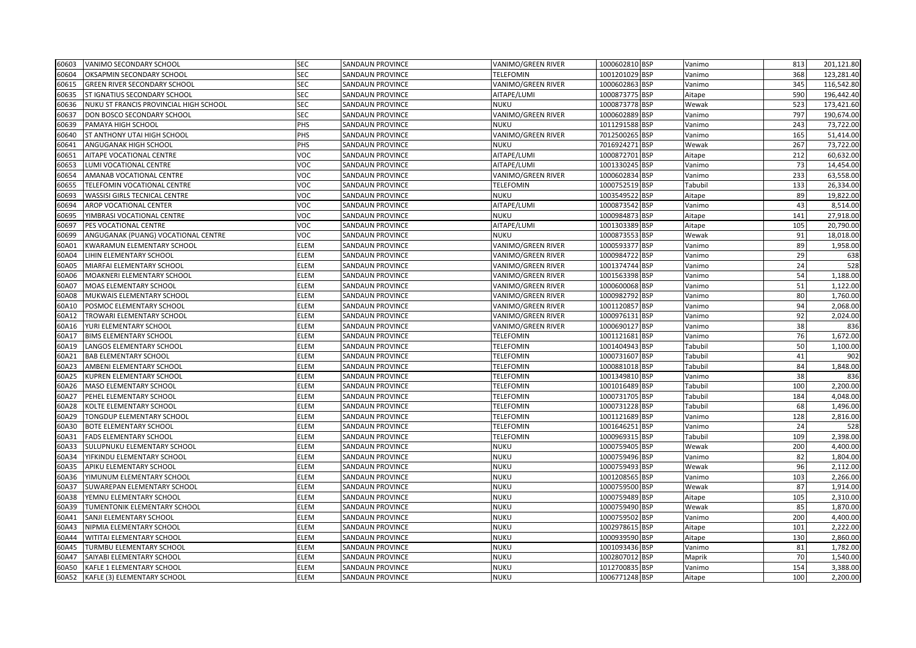| 60603 | VANIMO SECONDARY SCHOOL                | <b>SEC</b>  | SANDAUN PROVINCE        | VANIMO/GREEN RIVER        | 1000602810 BSP           | Vanimo  | 813 | 201,121.80 |
|-------|----------------------------------------|-------------|-------------------------|---------------------------|--------------------------|---------|-----|------------|
| 60604 | OKSAPMIN SECONDARY SCHOOL              | <b>SEC</b>  | SANDAUN PROVINCE        | <b>TELEFOMIN</b>          | 1001201029 BSP           | Vanimo  | 368 | 123,281.40 |
| 60615 | <b>GREEN RIVER SECONDARY SCHOOL</b>    | <b>SEC</b>  | SANDAUN PROVINCE        | VANIMO/GREEN RIVER        | 1000602863 BSP           | Vanimo  | 345 | 116,542.80 |
| 60635 | ST IGNATIUS SECONDARY SCHOOL           | SEC         | SANDAUN PROVINCE        | AITAPE/LUMI               | 1000873775 BSP           | Aitape  | 590 | 196,442.40 |
| 60636 | NUKU ST FRANCIS PROVINCIAL HIGH SCHOOL | SEC         | SANDAUN PROVINCE        | <b>NUKU</b>               | 1000873778 BSP           | Wewak   | 523 | 173,421.60 |
| 60637 | DON BOSCO SECONDARY SCHOOL             | SEC         | SANDAUN PROVINCE        | VANIMO/GREEN RIVER        | 1000602889<br><b>BSP</b> | Vanimo  | 797 | 190,674.00 |
| 60639 | PAMAYA HIGH SCHOOL                     | PHS         | SANDAUN PROVINCE        | <b>NUKU</b>               | 1011291588 BSP           | Vanimo  | 243 | 73,722.00  |
| 60640 | ST ANTHONY UTAI HIGH SCHOOL            | PHS         | SANDAUN PROVINCE        | VANIMO/GREEN RIVER        | 7012500265<br><b>BSP</b> | Vanimo  | 165 | 51,414.00  |
| 60641 | ANGUGANAK HIGH SCHOOL                  | PHS         | <b>SANDAUN PROVINCE</b> | <b>NUKU</b>               | 7016924271<br><b>BSP</b> | Wewak   | 267 | 73,722.00  |
| 60651 | AITAPE VOCATIONAL CENTRE               | VOC         | SANDAUN PROVINCE        | AITAPE/LUMI               | 1000872701 BSP           | Aitape  | 212 | 60,632.00  |
| 60653 | LUMI VOCATIONAL CENTRE                 | VOC         | SANDAUN PROVINCE        | AITAPE/LUMI               | 1001330245 BSP           | Vanimo  | 73  | 14,454.00  |
| 60654 | AMANAB VOCATIONAL CENTRE               | VOC         | <b>SANDAUN PROVINCE</b> | VANIMO/GREEN RIVER        | 1000602834<br><b>BSP</b> | Vanimo  | 233 | 63,558.00  |
| 60655 | TELEFOMIN VOCATIONAL CENTRE            | VOC         | SANDAUN PROVINCE        | <b>TELEFOMIN</b>          | 1000752519 BSP           | Tabubil | 133 | 26,334.00  |
| 60693 | WASSISI GIRLS TECNICAL CENTRE          | <b>OC</b>   | SANDAUN PROVINCE        | <b>NUKU</b>               | 1003549522<br><b>BSP</b> | Aitape  | 89  | 19,822.00  |
| 60694 | AROP VOCATIONAL CENTER                 | voc         | SANDAUN PROVINCE        | AITAPE/LUMI               | 1000873542 BSP           | Vanimo  | 43  | 8,514.00   |
| 60695 | YIMBRASI VOCATIONAL CENTRE             | VOC         | SANDAUN PROVINCE        | <b>NUKU</b>               | 1000984873 BSP           | Aitape  | 141 | 27,918.00  |
| 60697 | PES VOCATIONAL CENTRE                  | /OC         | SANDAUN PROVINCE        | AITAPE/LUMI               | 1001303389 BSP           | Aitape  | 105 | 20,790.00  |
| 60699 | ANGUGANAK (PUANG) VOCATIONAL CENTRE    | /OC         | SANDAUN PROVINCE        | <b>NUKU</b>               | 1000873553 BSP           | Wewak   | 91  | 18,018.00  |
| 60A01 | KWARAMUN ELEMENTARY SCHOOL             | ELEM        | SANDAUN PROVINCE        | VANIMO/GREEN RIVER        | 1000593377 BSP           | Vanimo  | 89  | 1,958.00   |
| 60A04 | LIHIN ELEMENTARY SCHOOL                | ELEM        | SANDAUN PROVINCE        | VANIMO/GREEN RIVER        | 1000984722 BSP           | Vanimo  | 29  | 638        |
| 60A05 | MIARFAI ELEMENTARY SCHOOL              | ELEM        | SANDAUN PROVINCE        | VANIMO/GREEN RIVER        | 1001374744 BSP           | Vanimo  | 24  | 528        |
| 60A06 | MOAKNERI ELEMENTARY SCHOOL             | ELEM        | SANDAUN PROVINCE        | VANIMO/GREEN RIVER        | 1001563398 BSP           | Vanimo  | 54  | 1,188.00   |
| 60A07 | MOAS ELEMENTARY SCHOOL                 | ELEM        | SANDAUN PROVINCE        | VANIMO/GREEN RIVER        | 1000600068 BSP           | Vanimo  | 51  | 1,122.00   |
| 60A08 | MUKWAIS ELEMENTARY SCHOOL              | <b>ELEM</b> | <b>SANDAUN PROVINCE</b> | <b>VANIMO/GREEN RIVER</b> | 1000982792<br><b>BSP</b> | Vanimo  | 80  | 1,760.00   |
| 60A10 | POSMOC ELEMENTARY SCHOOL               | ELEM        | SANDAUN PROVINCE        | VANIMO/GREEN RIVER        | 1001120857<br><b>BSP</b> | Vanimo  | 94  | 2,068.00   |
| 60A12 | TROWARI ELEMENTARY SCHOOL              | ELEM        | SANDAUN PROVINCE        | VANIMO/GREEN RIVER        | 1000976131 BSP           | Vanimo  | 92  | 2,024.00   |
| 60A16 | YURI ELEMENTARY SCHOOL                 | ELEM        | SANDAUN PROVINCE        | VANIMO/GREEN RIVER        | 1000690127 BSP           | Vanimo  | 38  | 836        |
| 60A17 | <b>BIMS ELEMENTARY SCHOOL</b>          | ELEM        | SANDAUN PROVINCE        | <b>TELEFOMIN</b>          | 1001121681 BSP           | Vanimo  | 76  | 1,672.00   |
| 60A19 | LANGOS ELEMENTARY SCHOOL               | ELEM        | SANDAUN PROVINCE        | <b>TELEFOMIN</b>          | 1001404943<br><b>BSP</b> | Tabubil | 50  | 1,100.00   |
| 60A21 | <b>BAB ELEMENTARY SCHOOL</b>           | ELEM        | <b>SANDAUN PROVINCE</b> | <b>TELEFOMIN</b>          | 1000731607<br><b>BSP</b> | Tabubil | 41  | 902        |
| 60A23 | AMBENI ELEMENTARY SCHOOL               | ELEM        | SANDAUN PROVINCE        | <b>TELEFOMIN</b>          | 1000881018 BSP           | Tabubil | 84  | 1,848.00   |
| 60A25 | KUPREN ELEMENTARY SCHOOL               | ELEM        | SANDAUN PROVINCE        | <b>TELEFOMIN</b>          | 1001349810<br><b>BSP</b> | Vanimo  | 38  | 836        |
| 60A26 | MASO ELEMENTARY SCHOOL                 | ELEM        | SANDAUN PROVINCE        | <b>TELEFOMIN</b>          | 1001016489<br><b>BSP</b> | Tabubil | 100 | 2,200.00   |
| 60A27 | PEHEL ELEMENTARY SCHOOL                | ELEM        | SANDAUN PROVINCE        | <b>TELEFOMIN</b>          | 1000731705 BSP           | Tabubil | 184 | 4,048.00   |
| 60A28 | KOLTE ELEMENTARY SCHOOL                | ELEM        | SANDAUN PROVINCE        | <b>TELEFOMIN</b>          | 1000731228 BSP           | Tabubil | 68  | 1,496.00   |
| 60A29 | TONGDUP ELEMENTARY SCHOOL              | ELEM        | SANDAUN PROVINCE        | <b>TELEFOMIN</b>          | 1001121689 BSP           | Vanimo  | 128 | 2,816.00   |
| 60A30 | BOTE ELEMENTARY SCHOOL                 | ELEM        | SANDAUN PROVINCE        | <b>TELEFOMIN</b>          | 1001646251<br><b>BSP</b> | Vanimo  | 24  | 528        |
| 60A31 | FADS ELEMENTARY SCHOOL                 | ELEM        | SANDAUN PROVINCE        | <b>TELEFOMIN</b>          | 1000969315 BSP           | Tabubil | 109 | 2,398.00   |
| 60A33 | SULUPNUKU ELEMENTARY SCHOOL            | ELEM        | <b>SANDAUN PROVINCE</b> | <b>NUKU</b>               | 1000759405 BSP           | Wewak   | 200 | 4,400.00   |
| 60A34 | YIFKINDU ELEMENTARY SCHOOL             | ELEM        | SANDAUN PROVINCE        | <b>NUKU</b>               | 1000759496 BSP           | Vanimo  | 82  | 1,804.00   |
| 60A35 | APIKU ELEMENTARY SCHOOL                | ELEM        | SANDAUN PROVINCE        | NUKU                      | 1000759493<br><b>BSP</b> | Wewak   | 96  | 2,112.00   |
| 60A36 | YIMUNUM ELEMENTARY SCHOOL              | ELEM        | SANDAUN PROVINCE        | NUKU                      | 1001208565 BSP           | Vanimo  | 103 | 2,266.00   |
| 60A37 | SUWAREPAN ELEMENTARY SCHOOL            | ELEM        | SANDAUN PROVINCE        | <b>NUKU</b>               | 1000759500<br><b>BSP</b> | Wewak   | 87  | 1,914.00   |
| 60A38 | YEMNU ELEMENTARY SCHOOL                | ELEM        | SANDAUN PROVINCE        | <b>NUKU</b>               | 1000759489 BSP           | Aitape  | 105 | 2,310.00   |
| 60A39 | TUMENTONIK ELEMENTARY SCHOOL           | ELEM        | <b>SANDAUN PROVINCE</b> | <b>NUKU</b>               | 1000759490<br><b>BSP</b> | Wewak   | 85  | 1,870.00   |
| 60A41 | SANJI ELEMENTARY SCHOOL                | ELEM        | SANDAUN PROVINCE        | <b>NUKU</b>               | 1000759502<br><b>BSP</b> | Vanimo  | 200 | 4,400.00   |
| 60A43 | NIPMIA ELEMENTARY SCHOOL               | ELEM        | SANDAUN PROVINCE        | <b>NUKU</b>               | <b>BSP</b><br>1002978615 | Aitape  | 101 | 2,222.00   |
| 60A44 | WITITAI ELEMENTARY SCHOOL              | ELEM        | SANDAUN PROVINCE        | <b>NUKU</b>               | 1000939590<br><b>BSP</b> | Aitape  | 130 | 2,860.00   |
| 60A45 | TURMBU ELEMENTARY SCHOOL               | ELEM        | SANDAUN PROVINCE        | NUKU                      | 1001093436 BSP           | Vanimo  | 81  | 1,782.00   |
| 60A47 | SAIYABI ELEMENTARY SCHOOL              | ELEM        | SANDAUN PROVINCE        | NUKU                      | 1002807012 BSP           | Maprik  | 70  | 1,540.00   |
| 60A50 | KAFLE 1 ELEMENTARY SCHOOL              | ELEM        | SANDAUN PROVINCE        | <b>NUKU</b>               | 1012700835 BSP           | Vanimo  | 154 | 3,388.00   |
| 60A52 | KAFLE (3) ELEMENTARY SCHOOL            | ELEM        | SANDAUN PROVINCE        | <b>NUKU</b>               | 1006771248 BSP           | Aitape  | 100 | 2,200.00   |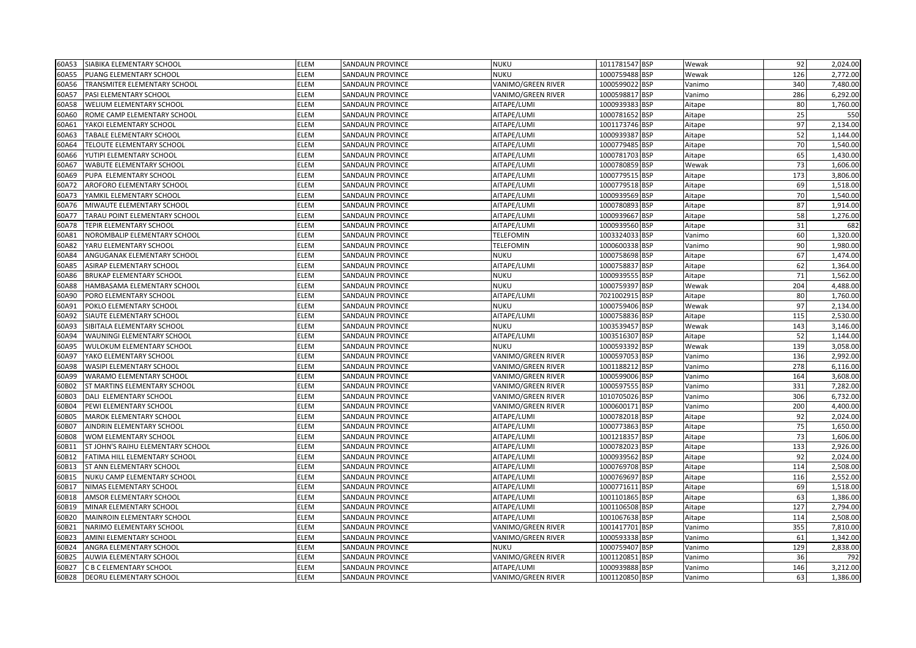| 60A53 | SIABIKA ELEMENTARY SCHOOL         | <b>ELEM</b> | SANDAUN PROVINCE        | <b>NUKU</b>        | 1011781547 BSP | Wewak  | 92  | 2,024.00 |
|-------|-----------------------------------|-------------|-------------------------|--------------------|----------------|--------|-----|----------|
| 60A55 | PUANG ELEMENTARY SCHOOL           | ELEM        | SANDAUN PROVINCE        | <b>NUKU</b>        | 1000759488 BSP | Wewak  | 126 | 2,772.00 |
| 60A56 | TRANSMITER ELEMENTARY SCHOOL      | ELEM        | SANDAUN PROVINCE        | VANIMO/GREEN RIVER | 1000599022 BSP | Vanimo | 340 | 7,480.00 |
| 60A57 | PASI ELEMENTARY SCHOOL            | ELEM        | SANDAUN PROVINCE        | VANIMO/GREEN RIVER | 1000598817 BSP | Vanimo | 286 | 6,292.00 |
| 60A58 | WELIUM ELEMENTARY SCHOOL          | ELEM        | SANDAUN PROVINCE        | AITAPE/LUMI        | 1000939383 BSP | Aitape | 80  | 1,760.00 |
| 60A60 | ROME CAMP ELEMENTARY SCHOOL       | ELEM        | SANDAUN PROVINCE        | AITAPE/LUMI        | 1000781652 BSP | Aitape | 25  | 550      |
| 60A61 | YAKOI ELEMENTARY SCHOOL           | ELEM        | <b>SANDAUN PROVINCE</b> | AITAPE/LUMI        | 1001173746 BSP | Aitape | 97  | 2,134.00 |
| 60A63 | TABALE ELEMENTARY SCHOOL          | <b>ELEM</b> | SANDAUN PROVINCE        | AITAPE/LUMI        | 1000939387 BSP | Aitape | 52  | 1,144.00 |
| 60A64 | TELOUTE ELEMENTARY SCHOOL         | ELEM        | SANDAUN PROVINCE        | AITAPE/LUMI        | 1000779485 BSP | Aitape | 70  | 1,540.00 |
| 60A66 | YUTIPI ELEMENTARY SCHOOL          | ELEM        | SANDAUN PROVINCE        | AITAPE/LUMI        | 1000781703 BSP | Aitape | 65  | 1,430.00 |
| 60A67 | WABUTE ELEMENTARY SCHOOL          | <b>ELEM</b> | SANDAUN PROVINCE        | AITAPE/LUMI        | 1000780859 BSP | Wewak  | 73  | 1,606.00 |
| 60A69 | PUPA ELEMENTARY SCHOOL            | <b>ELEM</b> | <b>SANDAUN PROVINCE</b> | AITAPE/LUMI        | 1000779515 BSP | Aitape | 173 | 3,806.00 |
| 60A72 | AROFORO ELEMENTARY SCHOOL         | ELEM        | SANDAUN PROVINCE        | AITAPE/LUMI        | 1000779518 BSP | Aitape | 69  | 1,518.00 |
| 60A73 | YAMKIL ELEMENTARY SCHOOL          | ELEM        | SANDAUN PROVINCE        | AITAPE/LUMI        | 1000939569 BSP | Aitape | 70  | 1,540.00 |
| 60A76 | MIWAUTE ELEMENTARY SCHOOL         | ELEM        | <b>SANDAUN PROVINCE</b> | AITAPE/LUMI        | 1000780893 BSP | Aitape | 87  | 1,914.00 |
| 60A77 | TARAU POINT ELEMENTARY SCHOOL     | ELEM        | SANDAUN PROVINCE        | AITAPE/LUMI        | 1000939667 BSP | Aitape | 58  | 1,276.00 |
| 60A78 | TEPIR ELEMENTARY SCHOOL           | ELEM        | SANDAUN PROVINCE        | AITAPE/LUMI        | 1000939560 BSP | Aitape | 31  | 682      |
| 60A81 | NOROMBALIP ELEMENTARY SCHOOL      | ELEM        | SANDAUN PROVINCE        | <b>TELEFOMIN</b>   | 1003324033 BSP | Vanimo | 60  | 1,320.00 |
| 60A82 | YARU ELEMENTARY SCHOOL            | <b>ELEM</b> | SANDAUN PROVINCE        | <b>TELEFOMIN</b>   | 1000600338 BSP | Vanimo | 90  | 1,980.00 |
| 60A84 | ANGUGANAK ELEMENTARY SCHOOL       | ELEM        | SANDAUN PROVINCE        | <b>NUKU</b>        | 1000758698 BSP | Aitape | 67  | 1,474.00 |
| 60A85 | ASIRAP ELEMENTARY SCHOOL          | <b>ELEM</b> | <b>SANDAUN PROVINCE</b> | AITAPE/LUMI        | 1000758837 BSP | Aitape | 62  | 1,364.00 |
| 60A86 | <b>BRUKAP ELEMENTARY SCHOOL</b>   | ELEM        | SANDAUN PROVINCE        | <b>NUKU</b>        | 1000939555 BSP | Aitape | 71  | 1,562.00 |
| 60A88 | HAMBASAMA ELEMENTARY SCHOOL       | ELEM        | SANDAUN PROVINCE        | <b>NUKU</b>        | 1000759397 BSP | Wewak  | 204 | 4,488.00 |
| 60A90 | PORO ELEMENTARY SCHOOL            | ELEM        | <b>SANDAUN PROVINCE</b> | AITAPE/LUMI        | 7021002915 BSP | Aitape | 80  | 1.760.00 |
| 60A91 | POKLO ELEMENTARY SCHOOL           | <b>ELEM</b> | SANDAUN PROVINCE        | <b>NUKU</b>        | 1000759406 BSP | Wewak  | 97  | 2,134.00 |
| 60A92 | SIAUTE ELEMENTARY SCHOOL          | ELEM        | SANDAUN PROVINCE        | AITAPE/LUMI        | 1000758836 BSP | Aitape | 115 | 2,530.00 |
| 60A93 | SIBITALA ELEMENTARY SCHOOL        | ELEM        | <b>SANDAUN PROVINCE</b> | <b>NUKU</b>        | 1003539457 BSP | Wewak  | 143 | 3,146.00 |
| 60A94 | WAUNINGI ELEMENTARY SCHOOL        | <b>ELEM</b> | SANDAUN PROVINCE        | AITAPE/LUMI        | 1003516307 BSP | Aitape | 52  | 1,144.00 |
| 60A95 | WULOKUM ELEMENTARY SCHOOL         | ELEM        | SANDAUN PROVINCE        | <b>NUKU</b>        | 1000593392 BSP | Wewak  | 139 | 3,058.00 |
| 60A97 | YAKO ELEMENTARY SCHOOL            | ELEM        | <b>SANDAUN PROVINCE</b> | VANIMO/GREEN RIVER | 1000597053 BSP | Vanimo | 136 | 2,992.00 |
| 60A98 | WASIPI ELEMENTARY SCHOOL          | <b>ELEM</b> | SANDAUN PROVINCE        | VANIMO/GREEN RIVER | 1001188212 BSP | Vanimo | 278 | 6,116.00 |
| 60A99 | WARAMO ELEMENTARY SCHOOL          | ELEM        | SANDAUN PROVINCE        | VANIMO/GREEN RIVER | 1000599006 BSP | Vanimo | 164 | 3,608.00 |
| 60B02 | ST MARTINS ELEMENTARY SCHOOL      | ELEM        | SANDAUN PROVINCE        | VANIMO/GREEN RIVER | 1000597555 BSP | Vanimo | 331 | 7,282.00 |
| 60B03 | DALI ELEMENTARY SCHOOL            | ELEM        | SANDAUN PROVINCE        | VANIMO/GREEN RIVER | 1010705026 BSP | Vanimo | 306 | 6,732.00 |
| 60B04 | PEWI ELEMENTARY SCHOOL            | <b>ELEM</b> | SANDAUN PROVINCE        | VANIMO/GREEN RIVER | 1000600171 BSP | Vanimo | 200 | 4,400.00 |
| 60B05 | <b>MAROK ELEMENTARY SCHOOL</b>    | <b>ELEM</b> | <b>SANDAUN PROVINCE</b> | AITAPE/LUMI        | 1000782018 BSP | Aitape | 92  | 2,024.00 |
| 60B07 | AINDRIN ELEMENTARY SCHOOL         | ELEM        | SANDAUN PROVINCE        | AITAPE/LUMI        | 1000773863 BSP | Aitape | 75  | 1,650.00 |
| 60B08 | WOM ELEMENTARY SCHOOL             | ELEM        | SANDAUN PROVINCE        | AITAPE/LUMI        | 1001218357 BSP | Aitape | 73  | 1,606.00 |
| 60B11 | ST JOHN'S RAIHU ELEMENTARY SCHOOL | ELEM        | SANDAUN PROVINCE        | AITAPE/LUMI        | 1000782023 BSP | Aitape | 133 | 2,926.00 |
| 60B12 | FATIMA HILL ELEMENTARY SCHOOL     | <b>ELEM</b> | SANDAUN PROVINCE        | AITAPE/LUMI        | 1000939562 BSP | Aitape | 92  | 2,024.00 |
| 60B13 | ST ANN ELEMENTARY SCHOOL          | ELEM        | SANDAUN PROVINCE        | AITAPE/LUMI        | 1000769708 BSP | Aitape | 114 | 2,508.00 |
| 60B15 | NUKU CAMP ELEMENTARY SCHOOL       | ELEM        | SANDAUN PROVINCE        | AITAPE/LUMI        | 1000769697 BSP | Aitape | 116 | 2,552.00 |
| 60B17 | NIMAS ELEMENTARY SCHOOL           | ELEM        | SANDAUN PROVINCE        | AITAPE/LUMI        | 1000771611 BSP | Aitape | 69  | 1,518.00 |
| 60B18 | AMSOR ELEMENTARY SCHOOL           | <b>ELEM</b> | SANDAUN PROVINCE        | AITAPE/LUMI        | 1001101865 BSP | Aitape | 63  | 1,386.00 |
| 60B19 | MINAR ELEMENTARY SCHOOL           | ELEM        | <b>SANDAUN PROVINCE</b> | AITAPE/LUMI        | 1001106508 BSP | Aitape | 127 | 2,794.00 |
| 60B20 | MAINROIN ELEMENTARY SCHOOL        | ELEM        | SANDAUN PROVINCE        | AITAPE/LUMI        | 1001067638 BSP | Aitape | 114 | 2,508.00 |
| 60B21 | NARIMO ELEMENTARY SCHOOL          | ELEM        | SANDAUN PROVINCE        | VANIMO/GREEN RIVER | 1001417701 BSP | Vanimo | 355 | 7,810.00 |
| 60B23 | AMINI ELEMENTARY SCHOOL           | ELEM        | SANDAUN PROVINCE        | VANIMO/GREEN RIVER | 1000593338 BSP | Vanimo | 61  | 1,342.00 |
| 60B24 | ANGRA ELEMENTARY SCHOOL           | ELEM        | SANDAUN PROVINCE        | <b>NUKU</b>        | 1000759407 BSP | Vanimo | 129 | 2,838.00 |
| 60B25 | AUWIA ELEMENTARY SCHOOL           | ELEM        | SANDAUN PROVINCE        | VANIMO/GREEN RIVER | 1001120851 BSP | Vanimo | 36  | 792      |
| 60B27 | C B C ELEMENTARY SCHOOL           | ELEM        | <b>SANDAUN PROVINCE</b> | AITAPE/LUMI        | 1000939888 BSP | Vanimo | 146 | 3,212.00 |
| 60B28 | <b>DEORU ELEMENTARY SCHOOL</b>    | <b>ELEM</b> | <b>SANDAUN PROVINCE</b> | VANIMO/GREEN RIVER | 1001120850 BSP | Vanimo | 63  | 1,386.00 |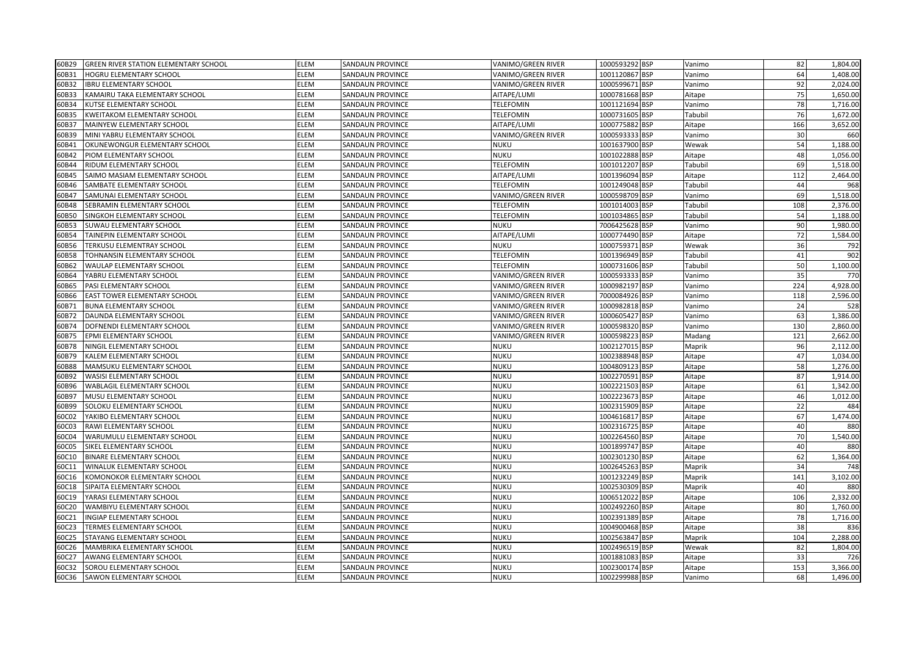| 60B29 | <b>GREEN RIVER STATION ELEMENTARY SCHOOL</b> | <b>ELEM</b> | <b>SANDAUN PROVINCE</b> | VANIMO/GREEN RIVER | 1000593292 BSP | Vanimo  | 82  | 1,804.00 |
|-------|----------------------------------------------|-------------|-------------------------|--------------------|----------------|---------|-----|----------|
| 60B31 | HOGRU ELEMENTARY SCHOOL                      | ELEM        | SANDAUN PROVINCE        | VANIMO/GREEN RIVER | 1001120867 BSP | Vanimo  | 64  | 1,408.00 |
| 60B32 | <b>IBRU ELEMENTARY SCHOOL</b>                | ELEM        | <b>SANDAUN PROVINCE</b> | VANIMO/GREEN RIVER | 1000599671 BSP | Vanimo  | 92  | 2,024.00 |
| 60B33 | KAMAIRU TAKA ELEMENTARY SCHOOL               | ELEM        | <b>SANDAUN PROVINCE</b> | AITAPE/LUMI        | 1000781668 BSP | Aitape  | 75  | 1,650.00 |
| 60B34 | KUTSE ELEMENTARY SCHOOL                      | ELEM        | SANDAUN PROVINCE        | TELEFOMIN          | 1001121694 BSP | Vanimo  | 78  | 1,716.00 |
| 60B35 | <b>KWEITAKOM ELEMENTARY SCHOOL</b>           | ELEM        | SANDAUN PROVINCE        | <b>TELEFOMIN</b>   | 1000731605 BSP | Tabubil | 76  | 1,672.00 |
| 60B37 | MAINYEW ELEMENTARY SCHOOL                    | ELEM        | SANDAUN PROVINCE        | AITAPE/LUMI        | 1000775882 BSP | Aitape  | 166 | 3,652.00 |
| 60B39 | MINI YABRU ELEMENTARY SCHOOL                 | ELEM        | <b>SANDAUN PROVINCE</b> | VANIMO/GREEN RIVER | 1000593333 BSP | Vanimo  | 30  | 660      |
| 60B41 | OKUNEWONGUR ELEMENTARY SCHOOL                | ELEM        | SANDAUN PROVINCE        | <b>NUKU</b>        | 1001637900 BSP | Wewak   | 54  | 1,188.00 |
| 60B42 | PIOM ELEMENTARY SCHOOL                       | ELEM        | SANDAUN PROVINCE        | <b>NUKU</b>        | 1001022888 BSP | Aitape  | 48  | 1,056.00 |
| 60B44 | RIDUM ELEMENTARY SCHOOL                      | ELEM        | <b>SANDAUN PROVINCE</b> | TELEFOMIN          | 1001012207 BSP | Tabubil | 69  | 1,518.00 |
| 60B45 | SAIMO MASIAM ELEMENTARY SCHOOL               | <b>ELEM</b> | <b>SANDAUN PROVINCE</b> | AITAPE/LUMI        | 1001396094 BSP | Aitape  | 112 | 2,464.00 |
| 50B46 | SAMBATE ELEMENTARY SCHOOL                    | ELEM        | SANDAUN PROVINCE        | TELEFOMIN          | 1001249048 BSP | Tabubil | 44  | 968      |
| 60B47 | SAMUNAI ELEMENTARY SCHOOL                    | ELEM        | SANDAUN PROVINCE        | VANIMO/GREEN RIVER | 1000598709 BSP | Vanimo  | 69  | 1,518.00 |
| 60B48 | SEBRAMIN ELEMENTARY SCHOOL                   | ELEM        | SANDAUN PROVINCE        | <b>TELEFOMIN</b>   | 1001014003 BSP | Tabubil | 108 | 2,376.00 |
| 60B50 | SINGKOH ELEMENTARY SCHOOL                    | ELEM        | SANDAUN PROVINCE        | TELEFOMIN          | 1001034865 BSP | Tabubil | 54  | 1,188.00 |
| 60B53 | SUWAU ELEMENTARY SCHOOL                      | ELEM        | SANDAUN PROVINCE        | <b>NUKU</b>        | 7006425628 BSP | Vanimo  | 90  | 1,980.00 |
| 60B54 | TAINEPIN ELEMENTARY SCHOOL                   | ELEM        | SANDAUN PROVINCE        | AITAPE/LUMI        | 1000774490 BSP | Aitape  | 72  | 1,584.00 |
| 60B56 | TERKUSU ELEMENTRAY SCHOOL                    | ELEM        | SANDAUN PROVINCE        | <b>NUKU</b>        | 1000759371 BSP | Wewak   | 36  | 792      |
| 60B58 | TOHNANSIN ELEMENTARY SCHOOL                  | <b>ELEM</b> | <b>SANDAUN PROVINCE</b> | TELEFOMIN          | 1001396949 BSP | Tabubil | 41  | 902      |
| 60B62 | WAULAP ELEMENTARY SCHOOL                     | ELEM        | <b>SANDAUN PROVINCE</b> | <b>TELEFOMIN</b>   | 1000731606 BSP | Tabubil | 50  | 1,100.00 |
| 60B64 | YABRU ELEMENTARY SCHOOL                      | ELEM        | SANDAUN PROVINCE        | VANIMO/GREEN RIVER | 1000593333 BSP | Vanimo  | 35  | 770      |
| 60B65 | PASI ELEMENTARY SCHOOL                       | ELEM        | SANDAUN PROVINCE        | VANIMO/GREEN RIVER | 1000982197 BSP | Vanimo  | 224 | 4,928.00 |
| 60B66 | EAST TOWER ELEMENTARY SCHOOL                 | ELEM        | <b>SANDAUN PROVINCE</b> | VANIMO/GREEN RIVER | 7000084926 BSP | Vanimo  | 118 | 2,596.00 |
| 60B71 | <b>BUNA ELEMENTARY SCHOOL</b>                | ELEM        | <b>SANDAUN PROVINCE</b> | VANIMO/GREEN RIVER | 1000982818 BSP | Vanimo  | 24  | 528      |
| 60B72 | DAUNDA ELEMENTARY SCHOOL                     | ELEM        | <b>SANDAUN PROVINCE</b> | VANIMO/GREEN RIVER | 1000605427 BSP | Vanimo  | 63  | 1,386.00 |
| 60B74 | DOFNENDI ELEMENTARY SCHOOL                   | ELEM        | SANDAUN PROVINCE        | VANIMO/GREEN RIVER | 1000598320 BSP | Vanimo  | 130 | 2,860.00 |
| 60B75 | EPMI ELEMENTARY SCHOOL                       | ELEM        | <b>SANDAUN PROVINCE</b> | VANIMO/GREEN RIVER | 1000598223 BSP | Madang  | 121 | 2,662.00 |
| 60B78 | NINGIL ELEMENTARY SCHOOL                     | ELEM        | SANDAUN PROVINCE        | <b>NUKU</b>        | 1002127015 BSP | Maprik  | 96  | 2,112.00 |
| 60B79 | KALEM ELEMENTARY SCHOOL                      | ELEM        | <b>SANDAUN PROVINCE</b> | <b>NUKU</b>        | 1002388948 BSP | Aitape  | 47  | 1,034.00 |
| 60B88 | MAMSUKU ELEMENTARY SCHOOL                    | ELEM        | SANDAUN PROVINCE        | <b>NUKU</b>        | 1004809123 BSP | Aitape  | 58  | 1,276.00 |
| 60B92 | WASISI ELEMENTARY SCHOOL                     | ELEM        | <b>SANDAUN PROVINCE</b> | <b>NUKU</b>        | 1002270591 BSP | Aitape  | 87  | 1,914.00 |
| 60B96 | <b>WABLAGIL ELEMENTARY SCHOOL</b>            | ELEM        | SANDAUN PROVINCE        | <b>NUKU</b>        | 1002221503 BSP | Aitape  | 61  | 1,342.00 |
| 60B97 | MUSU ELEMENTARY SCHOOL                       | ELEM        | SANDAUN PROVINCE        | <b>NUKU</b>        | 1002223673 BSP | Aitape  | 46  | 1,012.00 |
| 60B99 | SOLOKU ELEMENTARY SCHOOL                     | ELEM        | <b>SANDAUN PROVINCE</b> | <b>NUKU</b>        | 1002315909 BSP | Aitape  | 22  | 484      |
| 60C02 | YAKIBO ELEMENTARY SCHOOL                     | ELEM        | <b>SANDAUN PROVINCE</b> | <b>NUKU</b>        | 1004616817 BSP | Aitape  | 67  | 1,474.00 |
| 60C03 | RAWI ELEMENTARY SCHOOL                       | ELEM        | <b>SANDAUN PROVINCE</b> | <b>NUKU</b>        | 1002316725 BSP | Aitape  | 40  | 880      |
| 60C04 | WARUMULU ELEMENTARY SCHOOL                   | ELEM        | SANDAUN PROVINCE        | <b>NUKU</b>        | 1002264560 BSP | Aitape  | 70  | 1,540.00 |
| 60C05 | SIKEL ELEMENTARY SCHOOL                      | ELEM        | <b>SANDAUN PROVINCE</b> | <b>NUKU</b>        | 1001899747 BSP | Aitape  | 40  | 880      |
| 60C10 | <b>BINARE ELEMENTARY SCHOOL</b>              | ELEM        | SANDAUN PROVINCE        | <b>NUKU</b>        | 1002301230 BSP | Aitape  | 62  | 1,364.00 |
| 60C11 | WINALUK ELEMENTARY SCHOOL                    | ELEM        | SANDAUN PROVINCE        | <b>NUKU</b>        | 1002645263 BSP | Maprik  | 34  | 748      |
| 60C16 | KOMONOKOR ELEMENTARY SCHOOL                  | ELEM        | <b>SANDAUN PROVINCE</b> | <b>NUKU</b>        | 1001232249 BSP | Maprik  | 141 | 3,102.00 |
| 60C18 | SIPAITA ELEMENTARY SCHOOL                    | ELEM        | SANDAUN PROVINCE        | <b>NUKU</b>        | 1002530309 BSP | Maprik  | 40  | 880      |
| 60C19 | YARASI ELEMENTARY SCHOOL                     | ELEM        | <b>SANDAUN PROVINCE</b> | <b>NUKU</b>        | 1006512022 BSP | Aitape  | 106 | 2,332.00 |
| 60C20 | WAMBIYU ELEMENTARY SCHOOL                    | ELEM        | <b>SANDAUN PROVINCE</b> | <b>NUKU</b>        | 1002492260 BSP | Aitape  | 80  | 1,760.00 |
| 60C21 | INGIAP ELEMENTARY SCHOOL                     | ELEM        | SANDAUN PROVINCE        | <b>NUKU</b>        | 1002391389 BSP | Aitape  | 78  | 1,716.00 |
| 60C23 | TERMES ELEMENTARY SCHOOL                     | ELEM        | <b>SANDAUN PROVINCE</b> | <b>NUKU</b>        | 1004900468 BSP | Aitape  | 38  | 836      |
| 60C25 | STAYANG ELEMENTARY SCHOOL                    | ELEM        | <b>SANDAUN PROVINCE</b> | <b>NUKU</b>        | 1002563847 BSP | Maprik  | 104 | 2,288.00 |
| 60C26 | MAMBRIKA ELEMENTARY SCHOOL                   | ELEM        | SANDAUN PROVINCE        | <b>NUKU</b>        | 1002496519 BSP | Wewak   | 82  | 1,804.00 |
| 60C27 | AWANG ELEMENTARY SCHOOL                      | ELEM        | SANDAUN PROVINCE        | <b>NUKU</b>        | 1001881083 BSP | Aitape  | 33  | 726      |
| 60C32 | SOROU ELEMENTARY SCHOOL                      | ELEM        | <b>SANDAUN PROVINCE</b> | <b>NUKU</b>        | 1002300174 BSP | Aitape  | 153 | 3,366.00 |
| 60C36 | SAWON ELEMENTARY SCHOOL                      | <b>ELEM</b> | <b>SANDAUN PROVINCE</b> | <b>NUKU</b>        | 1002299988 BSP | Vanimo  | 68  | 1,496.00 |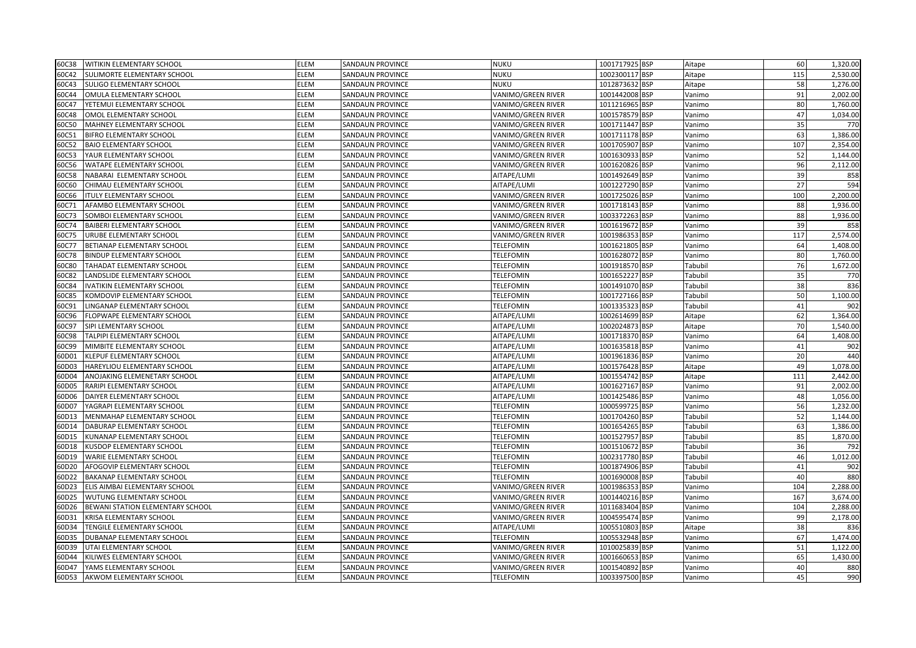| 60C38 | <b>WITIKIN ELEMENTARY SCHOOL</b>  | <b>ELEM</b> | <b>SANDAUN PROVINCE</b> | <b>NUKU</b>        | 1001717925 BSP | Aitape  | 60  | 1,320.00 |
|-------|-----------------------------------|-------------|-------------------------|--------------------|----------------|---------|-----|----------|
| 60C42 | SULIMORTE ELEMENTARY SCHOOL       | ELEM        | SANDAUN PROVINCE        | <b>NUKU</b>        | 1002300117 BSP | Aitape  | 115 | 2,530.00 |
| 60C43 | <b>SULIGO ELEMENTARY SCHOOL</b>   | <b>ELEM</b> | SANDAUN PROVINCE        | <b>NUKU</b>        | 1012873632 BSP | Aitape  | 58  | 1,276.00 |
| 60C44 | OMULA ELEMENTARY SCHOOL           | ELEM        | SANDAUN PROVINCE        | VANIMO/GREEN RIVER | 1001442008 BSP | Vanimo  | 91  | 2,002.00 |
| 60C47 | YETEMUI ELEMENTARY SCHOOL         | ELEM        | SANDAUN PROVINCE        | VANIMO/GREEN RIVER | 1011216965 BSP | Vanimo  | 80  | 1,760.00 |
| 60C48 | OMOL ELEMENTARY SCHOOL            | ELEM        | SANDAUN PROVINCE        | VANIMO/GREEN RIVER | 1001578579 BSP | Vanimo  | 47  | 1,034.00 |
| 60C50 | <b>MAHNEY ELEMENTARY SCHOOL</b>   | ELEM        | SANDAUN PROVINCE        | VANIMO/GREEN RIVER | 1001711447 BSP | Vanimo  | 35  | 770      |
| 60C51 | <b>BIFRO ELEMENTARY SCHOOL</b>    | <b>ELEM</b> | SANDAUN PROVINCE        | VANIMO/GREEN RIVER | 1001711178 BSP | Vanimo  | 63  | 1,386.00 |
| 60C52 | <b>BAIO ELEMENTARY SCHOOL</b>     | <b>ELEM</b> | SANDAUN PROVINCE        | VANIMO/GREEN RIVER | 1001705907 BSP | Vanimo  | 107 | 2,354.00 |
| 60C53 | YAUR ELEMENTARY SCHOOL            | <b>ELEM</b> | SANDAUN PROVINCE        | VANIMO/GREEN RIVER | 1001630933 BSP | Vanimo  | 52  | 1,144.00 |
| 60C56 | <b>WATAPE ELEMENTARY SCHOOL</b>   | ELEM        | SANDAUN PROVINCE        | VANIMO/GREEN RIVER | 1001620826 BSP | Vanimo  | 96  | 2,112.00 |
| 60C58 | NABARAI ELEMENTARY SCHOOL         | ELEM        | SANDAUN PROVINCE        | AITAPE/LUMI        | 1001492649 BSP | Vanimo  | 39  | 858      |
| 60C60 | CHIMAU ELEMENTARY SCHOOL          | ELEM        | SANDAUN PROVINCE        | AITAPE/LUMI        | 1001227290 BSP | Vanimo  | 27  | 594      |
| 60C66 | <b>ITULY ELEMENTARY SCHOOL</b>    | ELEM        | <b>SANDAUN PROVINCE</b> | VANIMO/GREEN RIVER | 1001725026 BSP | Vanimo  | 100 | 2,200.00 |
| 60C71 | AFAMBO ELEMENTARY SCHOOL          | ELEM        | SANDAUN PROVINCE        | VANIMO/GREEN RIVER | 1001718143 BSP | Vanimo  | 88  | 1,936.00 |
| 60C73 | SOMBOI ELEMENTARY SCHOOL          | <b>ELEM</b> | SANDAUN PROVINCE        | VANIMO/GREEN RIVER | 1003372263 BSP | Vanimo  | 88  | 1,936.00 |
| 60C74 | BAIBERI ELEMENTARY SCHOOL         | ELEM        | SANDAUN PROVINCE        | VANIMO/GREEN RIVER | 1001619672 BSP | Vanimo  | 39  | 858      |
| 60C75 | URUBE ELEMENTARY SCHOOL           | ELEM        | SANDAUN PROVINCE        | VANIMO/GREEN RIVER | 1001986353 BSP | Vanimo  | 117 | 2,574.00 |
| 60C77 | BETIANAP ELEMENTARY SCHOOL        | ELEM        | SANDAUN PROVINCE        | <b>TELEFOMIN</b>   | 1001621805 BSP | Vanimo  | 64  | 1,408.00 |
| 60C78 | <b>BINDUP ELEMENTARY SCHOOL</b>   | ELEM        | SANDAUN PROVINCE        | TELEFOMIN          | 1001628072 BSP | Vanimo  | 80  | 1,760.00 |
| 60C80 | TAHADAT ELEMENTARY SCHOOL         | ELEM        | SANDAUN PROVINCE        | <b>TELEFOMIN</b>   | 1001918570 BSP | Tabubil | 76  | 1,672.00 |
| 60C82 | LANDSLIDE ELEMENTARY SCHOOL       | ELEM        | SANDAUN PROVINCE        | <b>TELEFOMIN</b>   | 1001652227 BSP | Tabubil | 35  | 770      |
| 60C84 | <b>IVATIKIN ELEMENTARY SCHOOL</b> | <b>ELEM</b> | SANDAUN PROVINCE        | <b>TELEFOMIN</b>   | 1001491070 BSP | Tabubil | 38  | 836      |
| 60C85 | KOMDOVIP ELEMENTARY SCHOOL        | <b>ELEM</b> | SANDAUN PROVINCE        | <b>TELEFOMIN</b>   | 1001727166 BSP | Tabubil | 50  | 1,100.00 |
| 60C91 | LINGANAP ELEMENTARY SCHOOL        | ELEM        | SANDAUN PROVINCE        | <b>TELEFOMIN</b>   | 1001335323 BSP | Tabubil | 41  | 902      |
| 60C96 | FLOPWAPE ELEMENTARY SCHOOL        | ELEM        | SANDAUN PROVINCE        | AITAPE/LUMI        | 1002614699 BSP | Aitape  | 62  | 1,364.00 |
| 60C97 | SIPI LEMENTARY SCHOOL             | ELEM        | SANDAUN PROVINCE        | AITAPE/LUMI        | 1002024873 BSP | Aitape  | 70  | 1,540.00 |
| 60C98 | TALPIPI ELEMENTARY SCHOOL         | <b>ELEM</b> | SANDAUN PROVINCE        | AITAPE/LUMI        | 1001718370 BSP | Vanimo  | 64  | 1,408.00 |
| 60C99 | MIMBITE ELEMENTARY SCHOOL         | ELEM        | SANDAUN PROVINCE        | AITAPE/LUMI        | 1001635818 BSP | Vanimo  | 41  | 902      |
| 60D01 | KLEPUF ELEMENTARY SCHOOL          | ELEM        | SANDAUN PROVINCE        | AITAPE/LUMI        | 1001961836 BSP | Vanimo  | 20  | 440      |
| 60D03 | HAREYLIOU ELEMENTARY SCHOOL       | ELEM        | SANDAUN PROVINCE        | AITAPE/LUMI        | 1001576428 BSP | Aitape  | 49  | 1,078.00 |
| 60D04 | ANOJAKING ELEMENETARY SCHOOL      | <b>ELEM</b> | SANDAUN PROVINCE        | AITAPE/LUMI        | 1001554742 BSP | Aitape  | 111 | 2,442.00 |
| 60D05 | RARIPI ELEMENTARY SCHOOL          | <b>ELEM</b> | SANDAUN PROVINCE        | AITAPE/LUMI        | 1001627167 BSP | Vanimo  | 91  | 2,002.00 |
| 60D06 | DAIYER ELEMENTARY SCHOOL          | ELEM        | SANDAUN PROVINCE        | AITAPE/LUMI        | 1001425486 BSP | Vanimo  | 48  | 1,056.00 |
| 60D07 | YAGRAPI ELEMENTARY SCHOOL         | ELEM        | SANDAUN PROVINCE        | <b>TELEFOMIN</b>   | 1000599725 BSP | Vanimo  | 56  | 1,232.00 |
| 60D13 | MENMAHAP ELEMENTARY SCHOOL        | ELEM        | SANDAUN PROVINCE        | <b>TELEFOMIN</b>   | 1001704260 BSP | Tabubil | 52  | 1,144.00 |
| 60D14 | DABURAP ELEMENTARY SCHOOL         | ELEM        | SANDAUN PROVINCE        | <b>TELEFOMIN</b>   | 1001654265 BSP | Tabubil | 63  | 1,386.00 |
| 50D15 | KUNANAP ELEMENTARY SCHOOL         | ELEM        | SANDAUN PROVINCE        | <b>TELEFOMIN</b>   | 1001527957 BSP | Tabubil | 85  | 1,870.00 |
| 60D18 | KUSDOP ELEMENTARY SCHOOL          | ELEM        | SANDAUN PROVINCE        | <b>TELEFOMIN</b>   | 1001510672 BSP | Tabubil | 36  | 792      |
| 60D19 | WARIE ELEMENTARY SCHOOL           | ELEM        | SANDAUN PROVINCE        | <b>TELEFOMIN</b>   | 1002317780 BSP | Tabubil | 46  | 1,012.00 |
| 60D20 | AFOGOVIP ELEMENTARY SCHOOL        | ELEM        | SANDAUN PROVINCE        | <b>TELEFOMIN</b>   | 1001874906 BSP | Tabubil | 41  | 902      |
| 60D22 | BAKANAP ELEMENTARY SCHOOL         | ELEM        | SANDAUN PROVINCE        | <b>TELEFOMIN</b>   | 1001690008 BSP | Tabubil | 40  | 880      |
| 60D23 | ELIS AIMBAI ELEMENTARY SCHOOL     | ELEM        | SANDAUN PROVINCE        | VANIMO/GREEN RIVER | 1001986353 BSP | Vanimo  | 104 | 2,288.00 |
| 60D25 | <b>WUTUNG ELEMENTARY SCHOOL</b>   | ELEM        | SANDAUN PROVINCE        | VANIMO/GREEN RIVER | 1001440216 BSP | Vanimo  | 167 | 3,674.00 |
| 60D26 | BEWANI STATION ELEMENTARY SCHOOL  | ELEM        | SANDAUN PROVINCE        | VANIMO/GREEN RIVER | 1011683404 BSP | Vanimo  | 104 | 2,288.00 |
| 50D31 | KRISA ELEMENTARY SCHOOL           | ELEM        | SANDAUN PROVINCE        | VANIMO/GREEN RIVER | 1004595474 BSP | Vanimo  | 99  | 2,178.00 |
| 60D34 | TENGILE ELEMENTARY SCHOOL         | ELEM        | SANDAUN PROVINCE        | AITAPE/LUMI        | 1005510803 BSP | Aitape  | 38  | 836      |
| 60D35 | DUBANAP ELEMENTARY SCHOOL         | <b>ELEM</b> | SANDAUN PROVINCE        | <b>TELEFOMIN</b>   | 1005532948 BSP | Vanimo  | 67  | 1,474.00 |
| 60D39 | UTAI ELEMENTARY SCHOOL            | ELEM        | SANDAUN PROVINCE        | VANIMO/GREEN RIVER | 1010025839 BSP | Vanimo  | 51  | 1,122.00 |
| 60D44 | KILIWES ELEMENTARY SCHOOL         | ELEM        | SANDAUN PROVINCE        | VANIMO/GREEN RIVER | 1001660653 BSP | Vanimo  | 65  | 1,430.00 |
| 60D47 | YAMS ELEMENTARY SCHOOL            | ELEM        | <b>SANDAUN PROVINCE</b> | VANIMO/GREEN RIVER | 1001540892 BSP | Vanimo  | 40  | 880      |
| 60D53 | AKWOM ELEMENTARY SCHOOL           | <b>ELEM</b> | <b>SANDAUN PROVINCE</b> | <b>TELEFOMIN</b>   | 1003397500 BSP | Vanimo  | 45  | 990      |